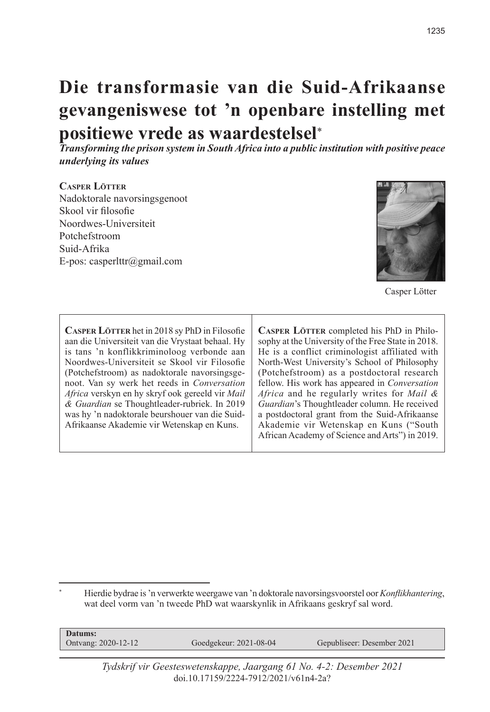# **Die transformasie van die Suid-Afrikaanse gevangeniswese tot 'n openbare instelling met positiewe vrede as waardestelsel**\*

*Transforming the prison system in South Africa into a public institution with positive peace underlying its values*

## **Casper Lötter**

Nadoktorale navorsingsgenoot Skool vir filosofie Noordwes-Universiteit Potchefstroom Suid-Afrika E-pos: casperlttr@gmail.com



Casper Lötter

**Casper Lötter** het in 2018 sy PhD in Filosofie aan die Universiteit van die Vrystaat behaal. Hy is tans 'n konflikkriminoloog verbonde aan Noordwes-Universiteit se Skool vir Filosofie (Potchefstroom) as nadoktorale navorsingsgenoot. Van sy werk het reeds in *Conversation Africa* verskyn en hy skryf ook gereeld vir *Mail & Guardian* se Thoughtleader-rubriek. In 2019 was hy 'n nadoktorale beurshouer van die Suid-Afrikaanse Akademie vir Wetenskap en Kuns.

CASPER LÖTTER completed his PhD in Philosophy at the University of the Free State in 2018. He is a conflict criminologist affiliated with North-West University's School of Philosophy (Potchefstroom) as a postdoctoral research fellow. His work has appeared in *Conversation Africa* and he regularly writes for *Mail & Guardian*'s Thoughtleader column. He received a postdoctoral grant from the Suid-Afrikaanse Akademie vir Wetenskap en Kuns ("South African Academy of Science and Arts") in 2019.

\* Hierdie bydrae is 'n verwerkte weergawe van 'n doktorale navorsingsvoorstel oor *Konflikhantering*, wat deel vorm van 'n tweede PhD wat waarskynlik in Afrikaans geskryf sal word.

| Goedgekeur: 2021-08-04<br>Gepubliseer: Desember 2021<br>Ontvang: 2020-12-12 |  |
|-----------------------------------------------------------------------------|--|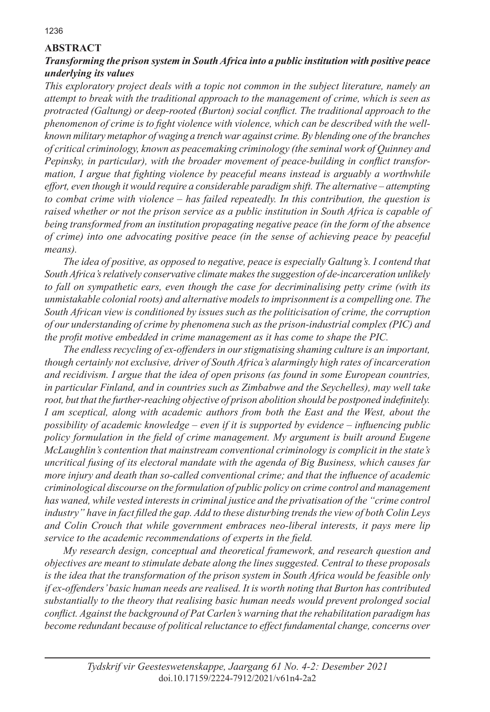# **ABSTRACT**

# *Transforming the prison system in South Africa into a public institution with positive peace underlying its values*

*This exploratory project deals with a topic not common in the subject literature, namely an attempt to break with the traditional approach to the management of crime, which is seen as protracted (Galtung) or deep-rooted (Burton) social conflict. The traditional approach to the phenomenon of crime is to fight violence with violence, which can be described with the wellknown military metaphor of waging a trench war against crime. By blending one of the branches of critical criminology, known as peacemaking criminology (the seminal work of Quinney and Pepinsky, in particular), with the broader movement of peace-building in conflict transformation, I argue that fighting violence by peaceful means instead is arguably a worthwhile effort, even though it would require a considerable paradigm shift. The alternative – attempting to combat crime with violence – has failed repeatedly. In this contribution, the question is raised whether or not the prison service as a public institution in South Africa is capable of being transformed from an institution propagating negative peace (in the form of the absence of crime) into one advocating positive peace (in the sense of achieving peace by peaceful means).* 

*The idea of positive, as opposed to negative, peace is especially Galtung's. I contend that South Africa's relatively conservative climate makes the suggestion of de-incarceration unlikely to fall on sympathetic ears, even though the case for decriminalising petty crime (with its unmistakable colonial roots) and alternative models to imprisonment is a compelling one. The South African view is conditioned by issues such as the politicisation of crime, the corruption of our understanding of crime by phenomena such as the prison-industrial complex (PIC) and the profit motive embedded in crime management as it has come to shape the PIC.* 

*The endless recycling of ex-offenders in our stigmatising shaming culture is an important, though certainly not exclusive, driver of South Africa's alarmingly high rates of incarceration and recidivism. I argue that the idea of open prisons (as found in some European countries, in particular Finland, and in countries such as Zimbabwe and the Seychelles), may well take root, but that the further-reaching objective of prison abolition should be postponed indefinitely. I am sceptical, along with academic authors from both the East and the West, about the possibility of academic knowledge – even if it is supported by evidence – influencing public policy formulation in the field of crime management. My argument is built around Eugene McLaughlin's contention that mainstream conventional criminology is complicit in the state's uncritical fusing of its electoral mandate with the agenda of Big Business, which causes far more injury and death than so-called conventional crime; and that the influence of academic criminological discourse on the formulation of public policy on crime control and management has waned, while vested interests in criminal justice and the privatisation of the "crime control industry" have in fact filled the gap. Add to these disturbing trends the view of both Colin Leys and Colin Crouch that while government embraces neo-liberal interests, it pays mere lip service to the academic recommendations of experts in the field.* 

*My research design, conceptual and theoretical framework, and research question and objectives are meant to stimulate debate along the lines suggested. Central to these proposals is the idea that the transformation of the prison system in South Africa would be feasible only if ex-offenders' basic human needs are realised. It is worth noting that Burton has contributed substantially to the theory that realising basic human needs would prevent prolonged social conflict. Against the background of Pat Carlen's warning that the rehabilitation paradigm has become redundant because of political reluctance to effect fundamental change, concerns over*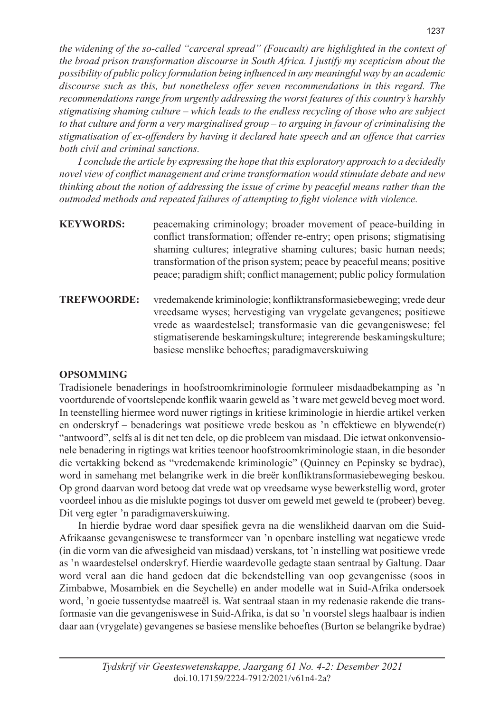*the widening of the so-called "carceral spread" (Foucault) are highlighted in the context of the broad prison transformation discourse in South Africa. I justify my scepticism about the possibility of public policy formulation being influenced in any meaningful way by an academic discourse such as this, but nonetheless offer seven recommendations in this regard. The recommendations range from urgently addressing the worst features of this country's harshly stigmatising shaming culture – which leads to the endless recycling of those who are subject to that culture and form a very marginalised group – to arguing in favour of criminalising the stigmatisation of ex-offenders by having it declared hate speech and an offence that carries both civil and criminal sanctions.* 

*I conclude the article by expressing the hope that this exploratory approach to a decidedly novel view of conflict management and crime transformation would stimulate debate and new thinking about the notion of addressing the issue of crime by peaceful means rather than the outmoded methods and repeated failures of attempting to fight violence with violence.*

| <b>KEYWORDS:</b>   | peacemaking criminology; broader movement of peace-building in<br>conflict transformation; offender re-entry; open prisons; stigmatising<br>shaming cultures; integrative shaming cultures; basic human needs;<br>transformation of the prison system; peace by peaceful means; positive<br>peace; paradigm shift; conflict management; public policy formulation |
|--------------------|-------------------------------------------------------------------------------------------------------------------------------------------------------------------------------------------------------------------------------------------------------------------------------------------------------------------------------------------------------------------|
| <b>TREFWOORDE:</b> | vredemakende kriminologie; konfliktransformasiebeweging; vrede deur<br>vreedsame wyses; hervestiging van vrygelate gevangenes; positiewe<br>vrede as waardestelsel; transformasie van die gevangeniswese; fel<br>stigmatiserende beskamingskulture; integrerende beskamingskulture;<br>basiese menslike behoeftes; paradigmaverskuiwing                           |

# **OPSOMMING**

Tradisionele benaderings in hoofstroomkriminologie formuleer misdaadbekamping as 'n voortdurende of voortslepende konflik waarin geweld as 't ware met geweld beveg moet word. In teenstelling hiermee word nuwer rigtings in kritiese kriminologie in hierdie artikel verken en onderskryf – benaderings wat positiewe vrede beskou as 'n effektiewe en blywende(r) "antwoord", selfs al is dit net ten dele, op die probleem van misdaad. Die ietwat onkonvensionele benadering in rigtings wat krities teenoor hoofstroomkriminologie staan, in die besonder die vertakking bekend as "vredemakende kriminologie" (Quinney en Pepinsky se bydrae), word in samehang met belangrike werk in die breër konfliktransformasiebeweging beskou. Op grond daarvan word betoog dat vrede wat op vreedsame wyse bewerkstellig word, groter voordeel inhou as die mislukte pogings tot dusver om geweld met geweld te (probeer) beveg. Dit verg egter 'n paradigmaverskuiwing.

In hierdie bydrae word daar spesifiek gevra na die wenslikheid daarvan om die Suid-Afrikaanse gevangeniswese te transformeer van 'n openbare instelling wat negatiewe vrede (in die vorm van die afwesigheid van misdaad) verskans, tot 'n instelling wat positiewe vrede as 'n waardestelsel onderskryf. Hierdie waardevolle gedagte staan sentraal by Galtung. Daar word veral aan die hand gedoen dat die bekendstelling van oop gevangenisse (soos in Zimbabwe, Mosambiek en die Seychelle) en ander modelle wat in Suid-Afrika ondersoek word, 'n goeie tussentydse maatreël is. Wat sentraal staan in my redenasie rakende die transformasie van die gevangeniswese in Suid-Afrika, is dat so 'n voorstel slegs haalbaar is indien daar aan (vrygelate) gevangenes se basiese menslike behoeftes (Burton se belangrike bydrae)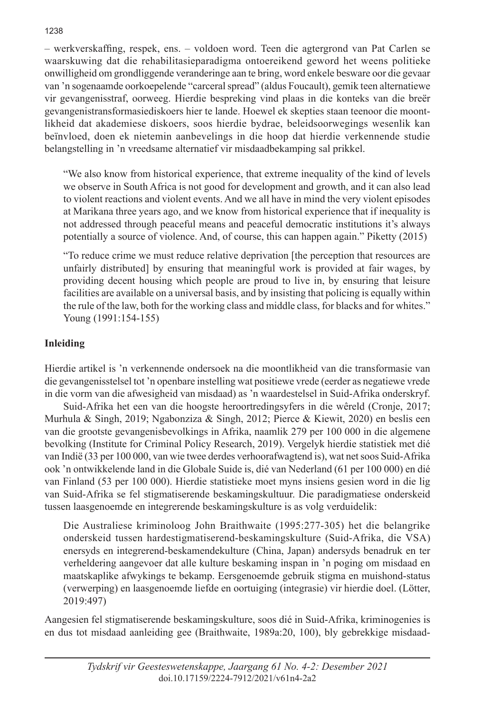– werkverskaffing, respek, ens. – voldoen word. Teen die agtergrond van Pat Carlen se waarskuwing dat die rehabilitasieparadigma ontoereikend geword het weens politieke onwilligheid om grondliggende veranderinge aan te bring, word enkele besware oor die gevaar van 'n sogenaamde oorkoepelende "carceral spread" (aldus Foucault), gemik teen alternatiewe vir gevangenisstraf, oorweeg. Hierdie bespreking vind plaas in die konteks van die breër gevangenistransformasiediskoers hier te lande. Hoewel ek skepties staan teenoor die moontlikheid dat akademiese diskoers, soos hierdie bydrae, beleidsoorwegings wesenlik kan beïnvloed, doen ek nietemin aanbevelings in die hoop dat hierdie verkennende studie belangstelling in 'n vreedsame alternatief vir misdaadbekamping sal prikkel.

"We also know from historical experience, that extreme inequality of the kind of levels we observe in South Africa is not good for development and growth, and it can also lead to violent reactions and violent events. And we all have in mind the very violent episodes at Marikana three years ago, and we know from historical experience that if inequality is not addressed through peaceful means and peaceful democratic institutions it's always potentially a source of violence. And, of course, this can happen again." Piketty (2015)

"To reduce crime we must reduce relative deprivation [the perception that resources are unfairly distributed] by ensuring that meaningful work is provided at fair wages, by providing decent housing which people are proud to live in, by ensuring that leisure facilities are available on a universal basis, and by insisting that policing is equally within the rule of the law, both for the working class and middle class, for blacks and for whites." Young (1991:154-155)

# **Inleiding**

Hierdie artikel is 'n verkennende ondersoek na die moontlikheid van die transformasie van die gevangenisstelsel tot 'n openbare instelling wat positiewe vrede (eerder as negatiewe vrede in die vorm van die afwesigheid van misdaad) as 'n waardestelsel in Suid-Afrika onderskryf.

Suid-Afrika het een van die hoogste heroortredingsyfers in die wêreld (Cronje, 2017; Murhula & Singh, 2019; Ngabonziza & Singh, 2012; Pierce & Kiewit, 2020) en beslis een van die grootste gevangenisbevolkings in Afrika, naamlik 279 per 100 000 in die algemene bevolking (Institute for Criminal Policy Research, 2019). Vergelyk hierdie statistiek met dié van Indië (33 per 100 000, van wie twee derdes verhoorafwagtend is), wat net soos Suid-Afrika ook 'n ontwikkelende land in die Globale Suide is, dié van Nederland (61 per 100 000) en dié van Finland (53 per 100 000). Hierdie statistieke moet myns insiens gesien word in die lig van Suid-Afrika se fel stigmatiserende beskamingskultuur. Die paradigmatiese onderskeid tussen laasgenoemde en integrerende beskamingskulture is as volg verduidelik:

Die Australiese kriminoloog John Braithwaite (1995:277-305) het die belangrike onderskeid tussen hardestigmatiserend-beskamingskulture (Suid-Afrika, die VSA) enersyds en integrerend-beskamendekulture (China, Japan) andersyds benadruk en ter verheldering aangevoer dat alle kulture beskaming inspan in 'n poging om misdaad en maatskaplike afwykings te bekamp. Eersgenoemde gebruik stigma en muishond-status (verwerping) en laasgenoemde liefde en oortuiging (integrasie) vir hierdie doel. (Lötter, 2019:497)

Aangesien fel stigmatiserende beskamingskulture, soos dié in Suid-Afrika, kriminogenies is en dus tot misdaad aanleiding gee (Braithwaite, 1989a:20, 100), bly gebrekkige misdaad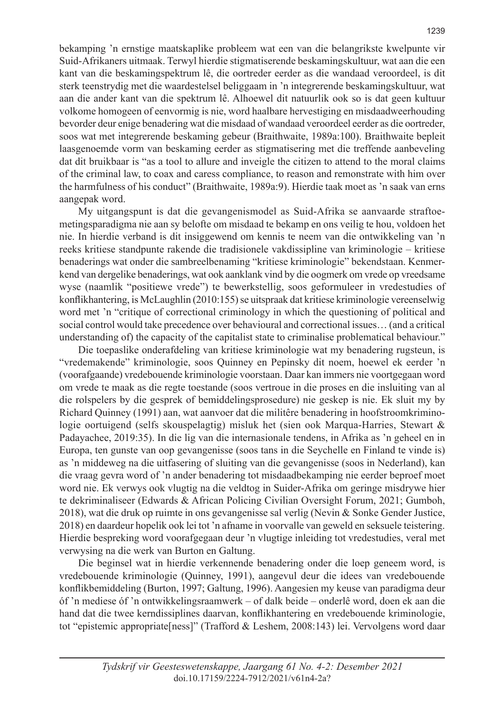bekamping 'n ernstige maatskaplike probleem wat een van die belangrikste kwelpunte vir Suid-Afrikaners uitmaak. Terwyl hierdie stigmatiserende beskamingskultuur, wat aan die een kant van die beskamingspektrum lê, die oortreder eerder as die wandaad veroordeel, is dit sterk teenstrydig met die waardestelsel beliggaam in 'n integrerende beskamingskultuur, wat aan die ander kant van die spektrum lê. Alhoewel dit natuurlik ook so is dat geen kultuur volkome homogeen of eenvormig is nie, word haalbare hervestiging en misdaadweerhouding bevorder deur enige benadering wat die misdaad of wandaad veroordeel eerder as die oortreder, soos wat met integrerende beskaming gebeur (Braithwaite, 1989a:100). Braithwaite bepleit laasgenoemde vorm van beskaming eerder as stigmatisering met die treffende aanbeveling dat dit bruikbaar is "as a tool to allure and inveigle the citizen to attend to the moral claims of the criminal law, to coax and caress compliance, to reason and remonstrate with him over the harmfulness of his conduct" (Braithwaite, 1989a:9). Hierdie taak moet as 'n saak van erns aangepak word.

My uitgangspunt is dat die gevangenismodel as Suid-Afrika se aanvaarde straftoemetingsparadigma nie aan sy belofte om misdaad te bekamp en ons veilig te hou, voldoen het nie. In hierdie verband is dit insiggewend om kennis te neem van die ontwikkeling van 'n reeks kritiese standpunte rakende die tradisionele vakdissipline van kriminologie – kritiese benaderings wat onder die sambreelbenaming "kritiese kriminologie" bekendstaan. Kenmerkend van dergelike benaderings, wat ook aanklank vind by die oogmerk om vrede op vreedsame wyse (naamlik "positiewe vrede") te bewerkstellig, soos geformuleer in vredestudies of konflikhantering, is McLaughlin (2010:155) se uitspraak dat kritiese kriminologie vereenselwig word met 'n "critique of correctional criminology in which the questioning of political and social control would take precedence over behavioural and correctional issues… (and a critical understanding of) the capacity of the capitalist state to criminalise problematical behaviour."

Die toepaslike onderafdeling van kritiese kriminologie wat my benadering rugsteun, is "vredemakende" kriminologie, soos Quinney en Pepinsky dit noem, hoewel ek eerder 'n (voorafgaande) vredebouende kriminologie voorstaan. Daar kan immers nie voortgegaan word om vrede te maak as die regte toestande (soos vertroue in die proses en die insluiting van al die rolspelers by die gesprek of bemiddelingsprosedure) nie geskep is nie. Ek sluit my by Richard Quinney (1991) aan, wat aanvoer dat die militêre benadering in hoofstroomkriminologie oortuigend (selfs skouspelagtig) misluk het (sien ook Marqua-Harries, Stewart & Padayachee, 2019:35). In die lig van die internasionale tendens, in Afrika as 'n geheel en in Europa, ten gunste van oop gevangenisse (soos tans in die Seychelle en Finland te vinde is) as 'n middeweg na die uitfasering of sluiting van die gevangenisse (soos in Nederland), kan die vraag gevra word of 'n ander benadering tot misdaadbekamping nie eerder beproef moet word nie. Ek verwys ook vlugtig na die veldtog in Suider-Afrika om geringe misdrywe hier te dekriminaliseer (Edwards & African Policing Civilian Oversight Forum, 2021; Gumboh, 2018), wat die druk op ruimte in ons gevangenisse sal verlig (Nevin & Sonke Gender Justice, 2018) en daardeur hopelik ook lei tot 'n afname in voorvalle van geweld en seksuele teistering. Hierdie bespreking word voorafgegaan deur 'n vlugtige inleiding tot vredestudies, veral met verwysing na die werk van Burton en Galtung.

Die beginsel wat in hierdie verkennende benadering onder die loep geneem word, is vredebouende kriminologie (Quinney, 1991), aangevul deur die idees van vredebouende konflikbemiddeling (Burton, 1997; Galtung, 1996). Aangesien my keuse van paradigma deur óf 'n mediese óf 'n ontwikkelingsraamwerk – of dalk beide – onderlê word, doen ek aan die hand dat die twee kerndissiplines daarvan, konflikhantering en vredebouende kriminologie, tot "epistemic appropriate[ness]" (Trafford & Leshem, 2008:143) lei. Vervolgens word daar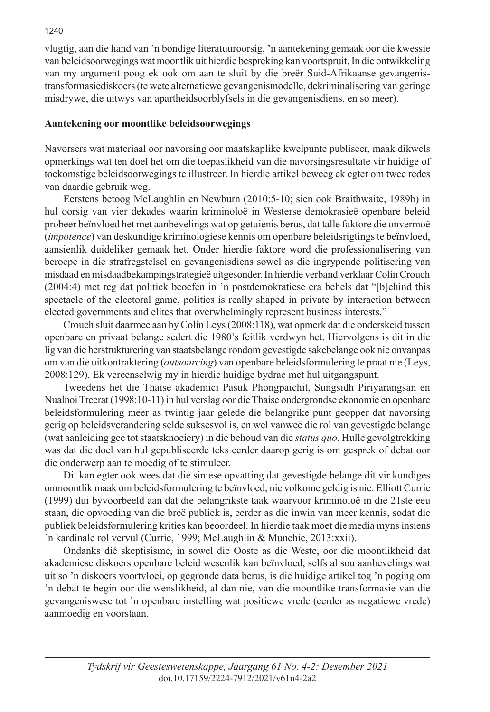vlugtig, aan die hand van 'n bondige literatuuroorsig, 'n aantekening gemaak oor die kwessie van beleidsoorwegings wat moontlik uit hierdie bespreking kan voortspruit. In die ontwikkeling van my argument poog ek ook om aan te sluit by die breër Suid-Afrikaanse gevangenistransformasiediskoers (te wete alternatiewe gevangenismodelle, dekriminalisering van geringe misdrywe, die uitwys van apartheidsoorblyfsels in die gevangenisdiens, en so meer).

# **Aantekening oor moontlike beleidsoorwegings**

Navorsers wat materiaal oor navorsing oor maatskaplike kwelpunte publiseer, maak dikwels opmerkings wat ten doel het om die toepaslikheid van die navorsingsresultate vir huidige of toekomstige beleidsoorwegings te illustreer. In hierdie artikel beweeg ek egter om twee redes van daardie gebruik weg.

Eerstens betoog McLaughlin en Newburn (2010:5-10; sien ook Braithwaite, 1989b) in hul oorsig van vier dekades waarin kriminoloë in Westerse demokrasieë openbare beleid probeer beïnvloed het met aanbevelings wat op getuienis berus, dat talle faktore die onvermoë (*impotence*) van deskundige kriminologiese kennis om openbare beleidsrigtings te beïnvloed, aansienlik duideliker gemaak het. Onder hierdie faktore word die professionalisering van beroepe in die strafregstelsel en gevangenisdiens sowel as die ingrypende politisering van misdaad en misdaadbekampingstrategieë uitgesonder. In hierdie verband verklaar Colin Crouch (2004:4) met reg dat politiek beoefen in 'n postdemokratiese era behels dat "[b]ehind this spectacle of the electoral game, politics is really shaped in private by interaction between elected governments and elites that overwhelmingly represent business interests."

Crouch sluit daarmee aan by Colin Leys (2008:118), wat opmerk dat die onderskeid tussen openbare en privaat belange sedert die 1980's feitlik verdwyn het. Hiervolgens is dit in die lig van die herstrukturering van staatsbelange rondom gevestigde sakebelange ook nie onvanpas om van die uitkontraktering (*outsourcing*) van openbare beleidsformulering te praat nie (Leys, 2008:129). Ek vereenselwig my in hierdie huidige bydrae met hul uitgangspunt.

Tweedens het die Thaise akademici Pasuk Phongpaichit, Sungsidh Piriyarangsan en Nualnoi Treerat (1998:10-11) in hul verslag oor die Thaise ondergrondse ekonomie en openbare beleidsformulering meer as twintig jaar gelede die belangrike punt geopper dat navorsing gerig op beleidsverandering selde suksesvol is, en wel vanweë die rol van gevestigde belange (wat aanleiding gee tot staatsknoeiery) in die behoud van die *status quo*. Hulle gevolgtrekking was dat die doel van hul gepubliseerde teks eerder daarop gerig is om gesprek of debat oor die onderwerp aan te moedig of te stimuleer.

Dit kan egter ook wees dat die siniese opvatting dat gevestigde belange dit vir kundiges onmoontlik maak om beleidsformulering te beïnvloed, nie volkome geldig is nie. Elliott Currie (1999) dui byvoorbeeld aan dat die belangrikste taak waarvoor kriminoloë in die 21ste eeu staan, die opvoeding van die breë publiek is, eerder as die inwin van meer kennis, sodat die publiek beleidsformulering krities kan beoordeel. In hierdie taak moet die media myns insiens 'n kardinale rol vervul (Currie, 1999; McLaughlin & Munchie, 2013:xxii).

Ondanks dié skeptisisme, in sowel die Ooste as die Weste, oor die moontlikheid dat akademiese diskoers openbare beleid wesenlik kan beïnvloed, selfs al sou aanbevelings wat uit so 'n diskoers voortvloei, op gegronde data berus, is die huidige artikel tog 'n poging om 'n debat te begin oor die wenslikheid, al dan nie, van die moontlike transformasie van die gevangeniswese tot 'n openbare instelling wat positiewe vrede (eerder as negatiewe vrede) aanmoedig en voorstaan.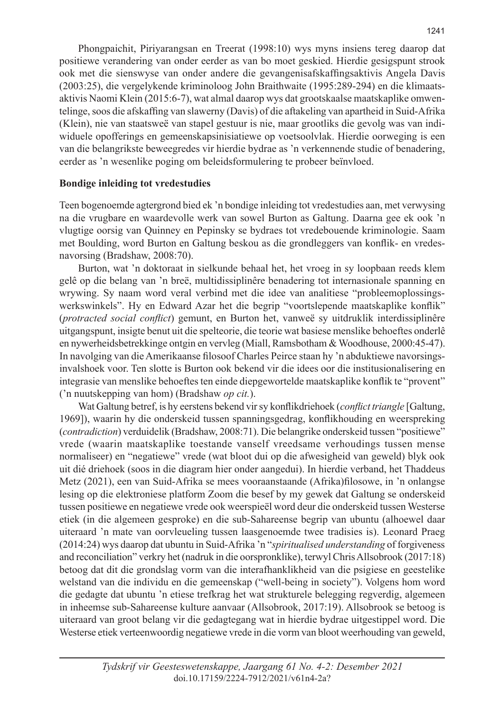Phongpaichit, Piriyarangsan en Treerat (1998:10) wys myns insiens tereg daarop dat positiewe verandering van onder eerder as van bo moet geskied. Hierdie gesigspunt strook ook met die sienswyse van onder andere die gevangenisafskaffingsaktivis Angela Davis (2003:25), die vergelykende kriminoloog John Braithwaite (1995:289-294) en die klimaatsaktivis Naomi Klein (2015:6-7), wat almal daarop wys dat grootskaalse maatskaplike omwentelinge, soos die afskaffing van slawerny (Davis) of die aftakeling van apartheid in Suid-Afrika (Klein), nie van staatsweë van stapel gestuur is nie, maar grootliks die gevolg was van indiwiduele opofferings en gemeenskapsinisiatiewe op voetsoolvlak. Hierdie oorweging is een van die belangrikste beweegredes vir hierdie bydrae as 'n verkennende studie of benadering, eerder as 'n wesenlike poging om beleidsformulering te probeer beïnvloed.

## **Bondige inleiding tot vredestudies**

Teen bogenoemde agtergrond bied ek 'n bondige inleiding tot vredestudies aan, met verwysing na die vrugbare en waardevolle werk van sowel Burton as Galtung. Daarna gee ek ook 'n vlugtige oorsig van Quinney en Pepinsky se bydraes tot vredebouende kriminologie. Saam met Boulding, word Burton en Galtung beskou as die grondleggers van konflik- en vredesnavorsing (Bradshaw, 2008:70).

Burton, wat 'n doktoraat in sielkunde behaal het, het vroeg in sy loopbaan reeds klem gelê op die belang van 'n breë, multidissiplinêre benadering tot internasionale spanning en wrywing. Sy naam word veral verbind met die idee van analitiese "probleemoplossingswerkswinkels". Hy en Edward Azar het die begrip "voortslepende maatskaplike konflik" (*protracted social conflict*) gemunt, en Burton het, vanweë sy uitdruklik interdissiplinêre uitgangspunt, insigte benut uit die spelteorie, die teorie wat basiese menslike behoeftes onderlê en nywerheidsbetrekkinge ontgin en vervleg (Miall, Ramsbotham & Woodhouse, 2000:45-47). In navolging van die Amerikaanse filosoof Charles Peirce staan hy 'n abduktiewe navorsingsinvalshoek voor. Ten slotte is Burton ook bekend vir die idees oor die institusionalisering en integrasie van menslike behoeftes ten einde diepgewortelde maatskaplike konflik te "provent" ('n nuutskepping van hom) (Bradshaw *op cit.*).

Wat Galtung betref, is hy eerstens bekend vir sy konflikdriehoek (*conflict triangle* [Galtung, 1969]), waarin hy die onderskeid tussen spanningsgedrag, konflikhouding en weerspreking (*contradiction*) verduidelik (Bradshaw, 2008:71). Die belangrike onderskeid tussen "positiewe" vrede (waarin maatskaplike toestande vanself vreedsame verhoudings tussen mense normaliseer) en "negatiewe" vrede (wat bloot dui op die afwesigheid van geweld) blyk ook uit dié driehoek (soos in die diagram hier onder aangedui). In hierdie verband, het Thaddeus Metz (2021), een van Suid-Afrika se mees vooraanstaande (Afrika)filosowe, in 'n onlangse lesing op die elektroniese platform Zoom die besef by my gewek dat Galtung se onderskeid tussen positiewe en negatiewe vrede ook weerspieël word deur die onderskeid tussen Westerse etiek (in die algemeen gesproke) en die sub-Sahareense begrip van ubuntu (alhoewel daar uiteraard 'n mate van oorvleueling tussen laasgenoemde twee tradisies is). Leonard Praeg (2014:24) wys daarop dat ubuntu in Suid-Afrika 'n "*spiritualised understanding* of forgiveness and reconciliation" verkry het (nadruk in die oorspronklike), terwyl Chris Allsobrook (2017:18) betoog dat dit die grondslag vorm van die interafhanklikheid van die psigiese en geestelike welstand van die individu en die gemeenskap ("well-being in society"). Volgens hom word die gedagte dat ubuntu 'n etiese trefkrag het wat strukturele belegging regverdig, algemeen in inheemse sub-Sahareense kulture aanvaar (Allsobrook, 2017:19). Allsobrook se betoog is uiteraard van groot belang vir die gedagtegang wat in hierdie bydrae uitgestippel word. Die Westerse etiek verteenwoordig negatiewe vrede in die vorm van bloot weerhouding van geweld,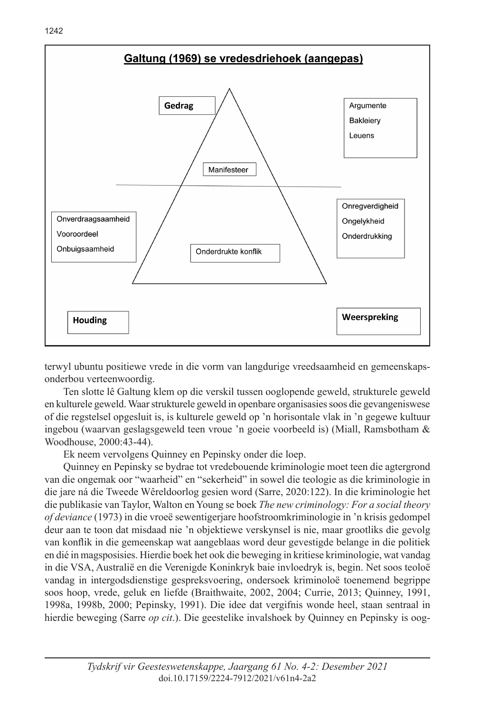

terwyl ubuntu positiewe vrede in die vorm van langdurige vreedsaamheid en gemeenskapsonderbou verteenwoordig.

Ten slotte lê Galtung klem op die verskil tussen ooglopende geweld, strukturele geweld en kulturele geweld. Waar strukturele geweld in openbare organisasies soos die gevangeniswese of die regstelsel opgesluit is, is kulturele geweld op 'n horisontale vlak in 'n gegewe kultuur ingebou (waarvan geslagsgeweld teen vroue 'n goeie voorbeeld is) (Miall, Ramsbotham & Woodhouse, 2000:43-44).

Ek neem vervolgens Quinney en Pepinsky onder die loep.

Quinney en Pepinsky se bydrae tot vredebouende kriminologie moet teen die agtergrond van die ongemak oor "waarheid" en "sekerheid" in sowel die teologie as die kriminologie in die jare ná die Tweede Wêreldoorlog gesien word (Sarre, 2020:122). In die kriminologie het die publikasie van Taylor, Walton en Young se boek *The new criminology: For a social theory of deviance* (1973) in die vroeë sewentigerjare hoofstroomkriminologie in 'n krisis gedompel deur aan te toon dat misdaad nie 'n objektiewe verskynsel is nie, maar grootliks die gevolg van konflik in die gemeenskap wat aangeblaas word deur gevestigde belange in die politiek en dié in magsposisies. Hierdie boek het ook die beweging in kritiese kriminologie, wat vandag in die VSA, Australië en die Verenigde Koninkryk baie invloedryk is, begin. Net soos teoloë vandag in intergodsdienstige gespreksvoering, ondersoek kriminoloë toenemend begrippe soos hoop, vrede, geluk en liefde (Braithwaite, 2002, 2004; Currie, 2013; Quinney, 1991, 1998a, 1998b, 2000; Pepinsky, 1991). Die idee dat vergifnis wonde heel, staan sentraal in hierdie beweging (Sarre *op cit*.). Die geestelike invalshoek by Quinney en Pepinsky is oog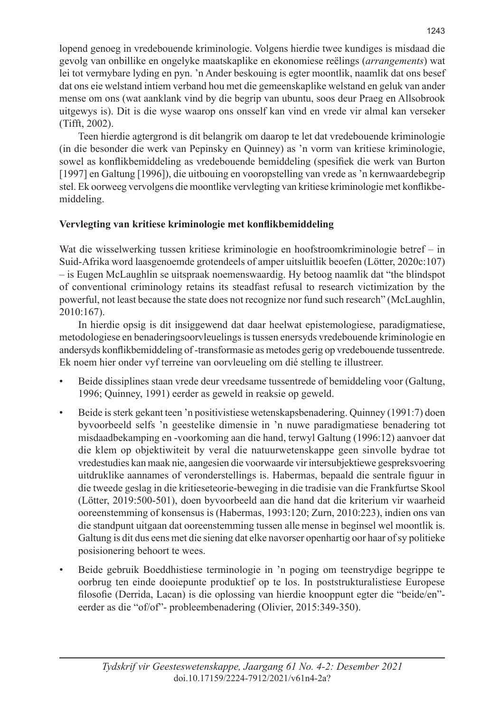lopend genoeg in vredebouende kriminologie. Volgens hierdie twee kundiges is misdaad die gevolg van onbillike en ongelyke maatskaplike en ekonomiese reëlings (*arrangements*) wat lei tot vermybare lyding en pyn. 'n Ander beskouing is egter moontlik, naamlik dat ons besef dat ons eie welstand intiem verband hou met die gemeenskaplike welstand en geluk van ander mense om ons (wat aanklank vind by die begrip van ubuntu, soos deur Praeg en Allsobrook uitgewys is). Dit is die wyse waarop ons onsself kan vind en vrede vir almal kan verseker (Tifft, 2002).

Teen hierdie agtergrond is dit belangrik om daarop te let dat vredebouende kriminologie (in die besonder die werk van Pepinsky en Quinney) as 'n vorm van kritiese kriminologie, sowel as konflikbemiddeling as vredebouende bemiddeling (spesifiek die werk van Burton [1997] en Galtung [1996]), die uitbouing en vooropstelling van vrede as 'n kernwaardebegrip stel. Ek oorweeg vervolgens die moontlike vervlegting van kritiese kriminologie met konflikbemiddeling.

# **Vervlegting van kritiese kriminologie met konflikbemiddeling**

Wat die wisselwerking tussen kritiese kriminologie en hoofstroomkriminologie betref – in Suid-Afrika word laasgenoemde grotendeels of amper uitsluitlik beoefen (Lötter, 2020c:107) – is Eugen McLaughlin se uitspraak noemenswaardig. Hy betoog naamlik dat "the blindspot of conventional criminology retains its steadfast refusal to research victimization by the powerful, not least because the state does not recognize nor fund such research" (McLaughlin, 2010:167).

In hierdie opsig is dit insiggewend dat daar heelwat epistemologiese, paradigmatiese, metodologiese en benaderingsoorvleuelings is tussen enersyds vredebouende kriminologie en andersyds konflikbemiddeling of -transformasie as metodes gerig op vredebouende tussentrede. Ek noem hier onder vyf terreine van oorvleueling om dié stelling te illustreer.

- Beide dissiplines staan vrede deur vreedsame tussentrede of bemiddeling voor (Galtung, 1996; Quinney, 1991) eerder as geweld in reaksie op geweld.
- Beide is sterk gekant teen 'n positivistiese wetenskapsbenadering. Quinney (1991:7) doen byvoorbeeld selfs 'n geestelike dimensie in 'n nuwe paradigmatiese benadering tot misdaadbekamping en -voorkoming aan die hand, terwyl Galtung (1996:12) aanvoer dat die klem op objektiwiteit by veral die natuurwetenskappe geen sinvolle bydrae tot vredestudies kan maak nie, aangesien die voorwaarde vir intersubjektiewe gespreksvoering uitdruklike aannames of veronderstellings is. Habermas, bepaald die sentrale figuur in die tweede geslag in die kritieseteorie-beweging in die tradisie van die Frankfurtse Skool (Lötter, 2019:500-501), doen byvoorbeeld aan die hand dat die kriterium vir waarheid ooreenstemming of konsensus is (Habermas, 1993:120; Zurn, 2010:223), indien ons van die standpunt uitgaan dat ooreenstemming tussen alle mense in beginsel wel moontlik is. Galtung is dit dus eens met die siening dat elke navorser openhartig oor haar of sy politieke posisionering behoort te wees.
- Beide gebruik Boeddhistiese terminologie in 'n poging om teenstrydige begrippe te oorbrug ten einde dooiepunte produktief op te los. In poststrukturalistiese Europese filosofie (Derrida, Lacan) is die oplossing van hierdie knooppunt egter die "beide/en" eerder as die "of/of"- probleembenadering (Olivier, 2015:349-350).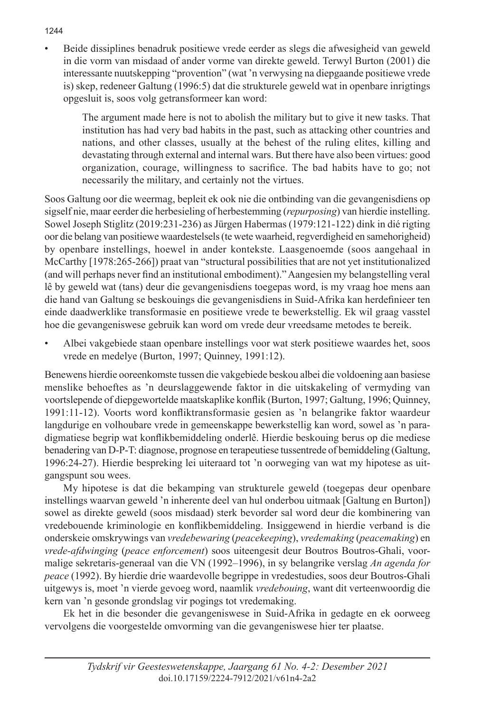• Beide dissiplines benadruk positiewe vrede eerder as slegs die afwesigheid van geweld in die vorm van misdaad of ander vorme van direkte geweld. Terwyl Burton (2001) die interessante nuutskepping "provention" (wat 'n verwysing na diepgaande positiewe vrede is) skep, redeneer Galtung (1996:5) dat die strukturele geweld wat in openbare inrigtings opgesluit is, soos volg getransformeer kan word:

 The argument made here is not to abolish the military but to give it new tasks. That institution has had very bad habits in the past, such as attacking other countries and nations, and other classes, usually at the behest of the ruling elites, killing and devastating through external and internal wars. But there have also been virtues: good organization, courage, willingness to sacrifice. The bad habits have to go; not necessarily the military, and certainly not the virtues.

Soos Galtung oor die weermag, bepleit ek ook nie die ontbinding van die gevangenisdiens op sigself nie, maar eerder die herbesieling of herbestemming (*repurposing*) van hierdie instelling. Sowel Joseph Stiglitz (2019:231-236) as Jürgen Habermas (1979:121-122) dink in dié rigting oor die belang van positiewe waardestelsels (te wete waarheid, regverdigheid en samehorigheid) by openbare instellings, hoewel in ander kontekste. Laasgenoemde (soos aangehaal in McCarthy [1978:265-266]) praat van "structural possibilities that are not yet institutionalized (and will perhaps never find an institutional embodiment)." Aangesien my belangstelling veral lê by geweld wat (tans) deur die gevangenisdiens toegepas word, is my vraag hoe mens aan die hand van Galtung se beskouings die gevangenisdiens in Suid-Afrika kan herdefinieer ten einde daadwerklike transformasie en positiewe vrede te bewerkstellig. Ek wil graag vasstel hoe die gevangeniswese gebruik kan word om vrede deur vreedsame metodes te bereik.

• Albei vakgebiede staan openbare instellings voor wat sterk positiewe waardes het, soos vrede en medelye (Burton, 1997; Quinney, 1991:12).

Benewens hierdie ooreenkomste tussen die vakgebiede beskou albei die voldoening aan basiese menslike behoeftes as 'n deurslaggewende faktor in die uitskakeling of vermyding van voortslepende of diepgewortelde maatskaplike konflik (Burton, 1997; Galtung, 1996; Quinney, 1991:11-12). Voorts word konfliktransformasie gesien as 'n belangrike faktor waardeur langdurige en volhoubare vrede in gemeenskappe bewerkstellig kan word, sowel as 'n paradigmatiese begrip wat konflikbemiddeling onderlê. Hierdie beskouing berus op die mediese benadering van D-P-T: diagnose, prognose en terapeutiese tussentrede of bemiddeling (Galtung, 1996:24-27). Hierdie bespreking lei uiteraard tot 'n oorweging van wat my hipotese as uitgangspunt sou wees.

My hipotese is dat die bekamping van strukturele geweld (toegepas deur openbare instellings waarvan geweld 'n inherente deel van hul onderbou uitmaak [Galtung en Burton]) sowel as direkte geweld (soos misdaad) sterk bevorder sal word deur die kombinering van vredebouende kriminologie en konflikbemiddeling. Insiggewend in hierdie verband is die onderskeie omskrywings van *vredebewaring* (*peacekeeping*), *vredemaking* (*peacemaking*) en *vrede-afdwinging* (*peace enforcement*) soos uiteengesit deur Boutros Boutros-Ghali, voormalige sekretaris-generaal van die VN (1992–1996), in sy belangrike verslag *An agenda for peace* (1992). By hierdie drie waardevolle begrippe in vredestudies, soos deur Boutros-Ghali uitgewys is, moet 'n vierde gevoeg word, naamlik *vredebouing*, want dit verteenwoordig die kern van 'n gesonde grondslag vir pogings tot vredemaking.

Ek het in die besonder die gevangeniswese in Suid-Afrika in gedagte en ek oorweeg vervolgens die voorgestelde omvorming van die gevangeniswese hier ter plaatse.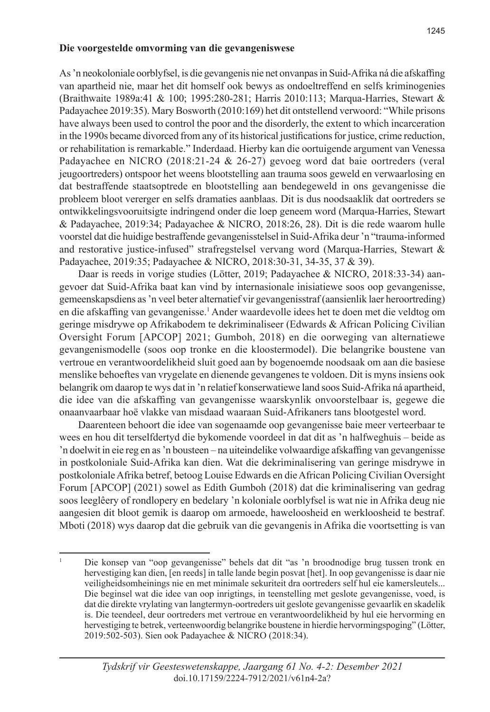#### **Die voorgestelde omvorming van die gevangeniswese**

As 'n neokoloniale oorblyfsel, is die gevangenis nie net onvanpas in Suid-Afrika ná die afskaffing van apartheid nie, maar het dit homself ook bewys as ondoeltreffend en selfs kriminogenies (Braithwaite 1989a:41 & 100; 1995:280-281; Harris 2010:113; Marqua-Harries, Stewart & Padayachee 2019:35). Mary Bosworth (2010:169) het dit ontstellend verwoord: "While prisons have always been used to control the poor and the disorderly, the extent to which incarceration in the 1990s became divorced from any of its historical justifications for justice, crime reduction, or rehabilitation is remarkable." Inderdaad. Hierby kan die oortuigende argument van Venessa Padayachee en NICRO (2018:21-24 & 26-27) gevoeg word dat baie oortreders (veral jeugoortreders) ontspoor het weens blootstelling aan trauma soos geweld en verwaarlosing en dat bestraffende staatsoptrede en blootstelling aan bendegeweld in ons gevangenisse die probleem bloot vererger en selfs dramaties aanblaas. Dit is dus noodsaaklik dat oortreders se ontwikkelingsvooruitsigte indringend onder die loep geneem word (Marqua-Harries, Stewart & Padayachee, 2019:34; Padayachee & NICRO, 2018:26, 28). Dit is die rede waarom hulle voorstel dat die huidige bestraffende gevangenisstelsel in Suid-Afrika deur 'n "trauma-informed and restorative justice-infused" strafregstelsel vervang word (Marqua-Harries, Stewart & Padayachee, 2019:35; Padayachee & NICRO, 2018:30-31, 34-35, 37 & 39).

Daar is reeds in vorige studies (Lötter, 2019; Padayachee & NICRO, 2018:33-34) aangevoer dat Suid-Afrika baat kan vind by internasionale inisiatiewe soos oop gevangenisse, gemeenskapsdiens as 'n veel beter alternatief vir gevangenisstraf (aansienlik laer heroortreding) en die afskaffing van gevangenisse.<sup>1</sup> Ander waardevolle idees het te doen met die veldtog om geringe misdrywe op Afrikabodem te dekriminaliseer (Edwards & African Policing Civilian Oversight Forum [APCOP] 2021; Gumboh, 2018) en die oorweging van alternatiewe gevangenismodelle (soos oop tronke en die kloostermodel). Die belangrike boustene van vertroue en verantwoordelikheid sluit goed aan by bogenoemde noodsaak om aan die basiese menslike behoeftes van vrygelate en dienende gevangenes te voldoen. Dit is myns insiens ook belangrik om daarop te wys dat in 'n relatief konserwatiewe land soos Suid-Afrika ná apartheid, die idee van die afskaffing van gevangenisse waarskynlik onvoorstelbaar is, gegewe die onaanvaarbaar hoë vlakke van misdaad waaraan Suid-Afrikaners tans blootgestel word.

Daarenteen behoort die idee van sogenaamde oop gevangenisse baie meer verteerbaar te wees en hou dit terselfdertyd die bykomende voordeel in dat dit as 'n halfweghuis – beide as 'n doelwit in eie reg en as 'n bousteen – na uiteindelike volwaardige afskaffing van gevangenisse in postkoloniale Suid-Afrika kan dien. Wat die dekriminalisering van geringe misdrywe in postkoloniale Afrika betref, betoog Louise Edwards en die African Policing Civilian Oversight Forum [APCOP] (2021) sowel as Edith Gumboh (2018) dat die kriminalisering van gedrag soos leeglêery of rondlopery en bedelary 'n koloniale oorblyfsel is wat nie in Afrika deug nie aangesien dit bloot gemik is daarop om armoede, haweloosheid en werkloosheid te bestraf. Mboti (2018) wys daarop dat die gebruik van die gevangenis in Afrika die voortsetting is van

<sup>1</sup> Die konsep van "oop gevangenisse" behels dat dit "as 'n broodnodige brug tussen tronk en hervestiging kan dien, [en reeds] in talle lande begin posvat [het]. In oop gevangenisse is daar nie veiligheidsomheinings nie en met minimale sekuriteit dra oortreders self hul eie kamersleutels... Die beginsel wat die idee van oop inrigtings, in teenstelling met geslote gevangenisse, voed, is dat die direkte vrylating van langtermyn-oortreders uit geslote gevangenisse gevaarlik en skadelik is. Die teendeel, deur oortreders met vertroue en verantwoordelikheid by hul eie hervorming en hervestiging te betrek, verteenwoordig belangrike boustene in hierdie hervormingspoging" (Lötter, 2019:502-503). Sien ook Padayachee & NICRO (2018:34).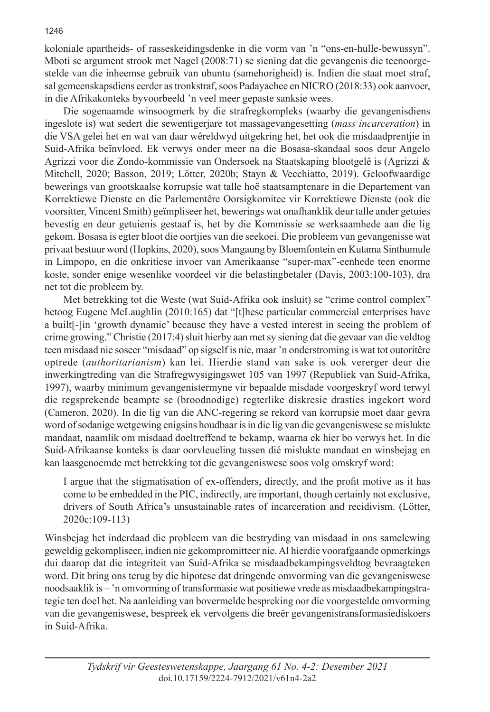koloniale apartheids- of rasseskeidingsdenke in die vorm van 'n "ons-en-hulle-bewussyn". Mboti se argument strook met Nagel (2008:71) se siening dat die gevangenis die teenoorgestelde van die inheemse gebruik van ubuntu (samehorigheid) is. Indien die staat moet straf, sal gemeenskapsdiens eerder as tronkstraf, soos Padayachee en NICRO (2018:33) ook aanvoer, in die Afrikakonteks byvoorbeeld 'n veel meer gepaste sanksie wees.

Die sogenaamde winsoogmerk by die strafregkompleks (waarby die gevangenisdiens ingeslote is) wat sedert die sewentigerjare tot massagevangesetting (*mass incarceration*) in die VSA gelei het en wat van daar wêreldwyd uitgekring het, het ook die misdaadprentjie in Suid-Afrika beïnvloed. Ek verwys onder meer na die Bosasa-skandaal soos deur Angelo Agrizzi voor die Zondo-kommissie van Ondersoek na Staatskaping blootgelê is (Agrizzi & Mitchell, 2020; Basson, 2019; Lötter, 2020b; Stayn & Vecchiatto, 2019). Geloofwaardige bewerings van grootskaalse korrupsie wat talle hoë staatsamptenare in die Departement van Korrektiewe Dienste en die Parlementêre Oorsigkomitee vir Korrektiewe Dienste (ook die voorsitter, Vincent Smith) geïmpliseer het, bewerings wat onafhanklik deur talle ander getuies bevestig en deur getuienis gestaaf is, het by die Kommissie se werksaamhede aan die lig gekom. Bosasa is egter bloot die oortjies van die seekoei. Die probleem van gevangenisse wat privaat bestuur word (Hopkins, 2020), soos Mangaung by Bloemfontein en Kutama Sinthumule in Limpopo, en die onkritiese invoer van Amerikaanse "super-max"-eenhede teen enorme koste, sonder enige wesenlike voordeel vir die belastingbetaler (Davis, 2003:100-103), dra net tot die probleem by.

Met betrekking tot die Weste (wat Suid-Afrika ook insluit) se "crime control complex" betoog Eugene McLaughlin (2010:165) dat "[t]hese particular commercial enterprises have a built[-]in 'growth dynamic' because they have a vested interest in seeing the problem of crime growing." Christie (2017:4) sluit hierby aan met sy siening dat die gevaar van die veldtog teen misdaad nie soseer "misdaad" op sigself is nie, maar 'n onderstroming is wat tot outoritêre optrede (*authoritarianism*) kan lei. Hierdie stand van sake is ook vererger deur die inwerkingtreding van die Strafregwysigingswet 105 van 1997 (Republiek van Suid-Afrika, 1997), waarby minimum gevangenistermyne vir bepaalde misdade voorgeskryf word terwyl die regsprekende beampte se (broodnodige) regterlike diskresie drasties ingekort word (Cameron, 2020). In die lig van die ANC-regering se rekord van korrupsie moet daar gevra word of sodanige wetgewing enigsins houdbaar is in die lig van die gevangeniswese se mislukte mandaat, naamlik om misdaad doeltreffend te bekamp, waarna ek hier bo verwys het. In die Suid-Afrikaanse konteks is daar oorvleueling tussen dié mislukte mandaat en winsbejag en kan laasgenoemde met betrekking tot die gevangeniswese soos volg omskryf word:

I argue that the stigmatisation of ex-offenders, directly, and the profit motive as it has come to be embedded in the PIC, indirectly, are important, though certainly not exclusive, drivers of South Africa's unsustainable rates of incarceration and recidivism. (Lötter, 2020c:109-113)

Winsbejag het inderdaad die probleem van die bestryding van misdaad in ons samelewing geweldig gekompliseer, indien nie gekompromitteer nie. Al hierdie voorafgaande opmerkings dui daarop dat die integriteit van Suid-Afrika se misdaadbekampingsveldtog bevraagteken word. Dit bring ons terug by die hipotese dat dringende omvorming van die gevangeniswese noodsaaklik is – 'n omvorming of transformasie wat positiewe vrede as misdaadbekampingstrategie ten doel het. Na aanleiding van bovermelde bespreking oor die voorgestelde omvorming van die gevangeniswese, bespreek ek vervolgens die breër gevangenistransformasiediskoers in Suid-Afrika.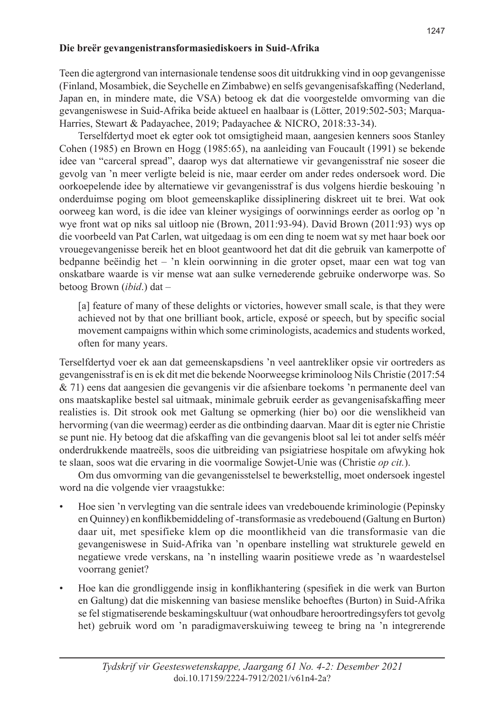# **Die breër gevangenistransformasiediskoers in Suid-Afrika**

Teen die agtergrond van internasionale tendense soos dit uitdrukking vind in oop gevangenisse (Finland, Mosambiek, die Seychelle en Zimbabwe) en selfs gevangenisafskaffing (Nederland, Japan en, in mindere mate, die VSA) betoog ek dat die voorgestelde omvorming van die gevangeniswese in Suid-Afrika beide aktueel en haalbaar is (Lötter, 2019:502-503; Marqua-Harries, Stewart & Padayachee, 2019; Padayachee & NICRO, 2018:33-34).

Terselfdertyd moet ek egter ook tot omsigtigheid maan, aangesien kenners soos Stanley Cohen (1985) en Brown en Hogg (1985:65), na aanleiding van Foucault (1991) se bekende idee van "carceral spread", daarop wys dat alternatiewe vir gevangenisstraf nie soseer die gevolg van 'n meer verligte beleid is nie, maar eerder om ander redes ondersoek word. Die oorkoepelende idee by alternatiewe vir gevangenisstraf is dus volgens hierdie beskouing 'n onderduimse poging om bloot gemeenskaplike dissiplinering diskreet uit te brei. Wat ook oorweeg kan word, is die idee van kleiner wysigings of oorwinnings eerder as oorlog op 'n wye front wat op niks sal uitloop nie (Brown, 2011:93-94). David Brown (2011:93) wys op die voorbeeld van Pat Carlen, wat uitgedaag is om een ding te noem wat sy met haar boek oor vrouegevangenisse bereik het en bloot geantwoord het dat dit die gebruik van kamerpotte of bedpanne beëindig het – 'n klein oorwinning in die groter opset, maar een wat tog van onskatbare waarde is vir mense wat aan sulke vernederende gebruike onderworpe was. So betoog Brown (*ibid*.) dat –

[a] feature of many of these delights or victories, however small scale, is that they were achieved not by that one brilliant book, article, exposé or speech, but by specific social movement campaigns within which some criminologists, academics and students worked, often for many years.

Terselfdertyd voer ek aan dat gemeenskapsdiens 'n veel aantrekliker opsie vir oortreders as gevangenisstraf is en is ek dit met die bekende Noorweegse kriminoloog Nils Christie (2017:54 & 71) eens dat aangesien die gevangenis vir die afsienbare toekoms 'n permanente deel van ons maatskaplike bestel sal uitmaak, minimale gebruik eerder as gevangenisafskaffing meer realisties is. Dit strook ook met Galtung se opmerking (hier bo) oor die wenslikheid van hervorming (van die weermag) eerder as die ontbinding daarvan. Maar dit is egter nie Christie se punt nie. Hy betoog dat die afskaffing van die gevangenis bloot sal lei tot ander selfs méér onderdrukkende maatreëls, soos die uitbreiding van psigiatriese hospitale om afwyking hok te slaan, soos wat die ervaring in die voormalige Sowjet-Unie was (Christie *op cit.*).

Om dus omvorming van die gevangenisstelsel te bewerkstellig, moet ondersoek ingestel word na die volgende vier vraagstukke:

- Hoe sien 'n vervlegting van die sentrale idees van vredebouende kriminologie (Pepinsky en Quinney) en konflikbemiddeling of -transformasie as vredebouend (Galtung en Burton) daar uit, met spesifieke klem op die moontlikheid van die transformasie van die gevangeniswese in Suid-Afrika van 'n openbare instelling wat strukturele geweld en negatiewe vrede verskans, na 'n instelling waarin positiewe vrede as 'n waardestelsel voorrang geniet?
- Hoe kan die grondliggende insig in konflikhantering (spesifiek in die werk van Burton en Galtung) dat die miskenning van basiese menslike behoeftes (Burton) in Suid-Afrika se fel stigmatiserende beskamingskultuur (wat onhoudbare heroortredingsyfers tot gevolg het) gebruik word om 'n paradigmaverskuiwing teweeg te bring na 'n integrerende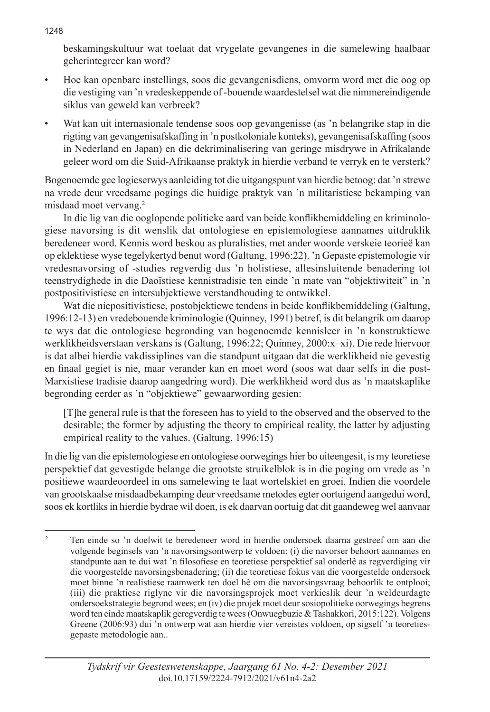beskamingskultuur wat toelaat dat vrygelate gevangenes in die samelewing haalbaar geherintegreer kan word?

- Hoe kan openbare instellings, soos die gevangenisdiens, omvorm word met die oog op die vestiging van 'n vredeskeppende of -bouende waardestelsel wat die nimmereindigende siklus van geweld kan verbreek?
- Wat kan uit internasionale tendense soos oop gevangenisse (as 'n belangrike stap in die rigting van gevangenisafskaffing in 'n postkoloniale konteks), gevangenisafskaffing (soos in Nederland en Japan) en die dekriminalisering van geringe misdrywe in Afrikalande geleer word om die Suid-Afrikaanse praktyk in hierdie verband te verryk en te versterk?

Bogenoemde gee logieserwys aanleiding tot die uitgangspunt van hierdie betoog: dat 'n strewe na vrede deur vreedsame pogings die huidige praktyk van 'n militaristiese bekamping van misdaad moet vervang.2

In die lig van die ooglopende politieke aard van beide konflikbemiddeling en kriminologiese navorsing is dit wenslik dat ontologiese en epistemologiese aannames uitdruklik beredeneer word. Kennis word beskou as pluralisties, met ander woorde verskeie teorieë kan op eklektiese wyse tegelykertyd benut word (Galtung, 1996:22). 'n Gepaste epistemologie vir vredesnavorsing of -studies regverdig dus 'n holistiese, allesinsluitende benadering tot teenstrydighede in die Daoïstiese kennistradisie ten einde 'n mate van "objektiwiteit" in 'n postpositivistiese en intersubjektiewe verstandhouding te ontwikkel.

Wat die niepositivistiese, postobjektiewe tendens in beide konflikbemiddeling (Galtung, 1996:12-13) en vredebouende kriminologie (Quinney, 1991) betref, is dit belangrik om daarop te wys dat die ontologiese begronding van bogenoemde kennisleer in 'n konstruktiewe werklikheidsverstaan verskans is (Galtung, 1996:22; Quinney, 2000:x–xi). Die rede hiervoor is dat albei hierdie vakdissiplines van die standpunt uitgaan dat die werklikheid nie gevestig en finaal gegiet is nie, maar verander kan en moet word (soos wat daar selfs in die post-Marxistiese tradisie daarop aangedring word). Die werklikheid word dus as 'n maatskaplike begronding eerder as 'n "objektiewe" gewaarwording gesien:

[T]he general rule is that the foreseen has to yield to the observed and the observed to the desirable; the former by adjusting the theory to empirical reality, the latter by adjusting empirical reality to the values. (Galtung, 1996:15)

In die lig van die epistemologiese en ontologiese oorwegings hier bo uiteengesit, is my teoretiese perspektief dat gevestigde belange die grootste struikelblok is in die poging om vrede as 'n positiewe waardeoordeel in ons samelewing te laat wortelskiet en groei. Indien die voordele van grootskaalse misdaadbekamping deur vreedsame metodes egter oortuigend aangedui word, soos ek kortliks in hierdie bydrae wil doen, is ek daarvan oortuig dat dit gaandeweg wel aanvaar

<sup>2</sup> Ten einde so 'n doelwit te beredeneer word in hierdie ondersoek daarna gestreef om aan die volgende beginsels van 'n navorsingsontwerp te voldoen: (i) die navorser behoort aannames en standpunte aan te dui wat 'n filosofiese en teoretiese perspektief sal onderlê as regverdiging vir die voorgestelde navorsingsbenadering; (ii) die teoretiese fokus van die voorgestelde ondersoek moet binne 'n realistiese raamwerk ten doel hê om die navorsingsvraag behoorlik te ontplooi; (iii) die praktiese riglyne vir die navorsingsprojek moet verkieslik deur 'n weldeurdagte ondersoekstrategie begrond wees; en (iv) die projek moet deur sosiopolitieke oorwegings begrens word ten einde maatskaplik geregverdig te wees (Onwuegbuzie & Tashakkori, 2015:122). Volgens Greene (2006:93) dui 'n ontwerp wat aan hierdie vier vereistes voldoen, op sigself 'n teoretiesgepaste metodologie aan..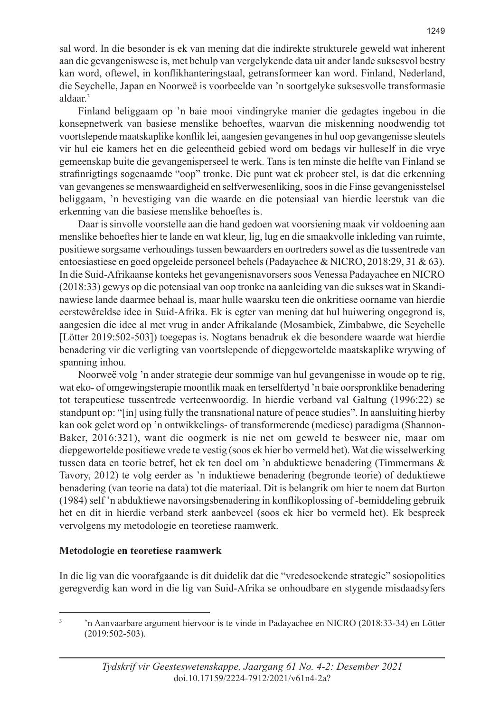sal word. In die besonder is ek van mening dat die indirekte strukturele geweld wat inherent aan die gevangeniswese is, met behulp van vergelykende data uit ander lande suksesvol bestry kan word, oftewel, in konflikhanteringstaal, getransformeer kan word. Finland, Nederland, die Seychelle, Japan en Noorweë is voorbeelde van 'n soortgelyke suksesvolle transformasie aldaar.3

Finland beliggaam op 'n baie mooi vindingryke manier die gedagtes ingebou in die konsepnetwerk van basiese menslike behoeftes, waarvan die miskenning noodwendig tot voortslepende maatskaplike konflik lei, aangesien gevangenes in hul oop gevangenisse sleutels vir hul eie kamers het en die geleentheid gebied word om bedags vir hulleself in die vrye gemeenskap buite die gevangenisperseel te werk. Tans is ten minste die helfte van Finland se strafinrigtings sogenaamde "oop" tronke. Die punt wat ek probeer stel, is dat die erkenning van gevangenes se menswaardigheid en selfverwesenliking, soos in die Finse gevangenisstelsel beliggaam, 'n bevestiging van die waarde en die potensiaal van hierdie leerstuk van die erkenning van die basiese menslike behoeftes is.

Daar is sinvolle voorstelle aan die hand gedoen wat voorsiening maak vir voldoening aan menslike behoeftes hier te lande en wat kleur, lig, lug en die smaakvolle inkleding van ruimte, positiewe sorgsame verhoudings tussen bewaarders en oortreders sowel as die tussentrede van entoesiastiese en goed opgeleide personeel behels (Padayachee & NICRO, 2018:29, 31 & 63). In die Suid-Afrikaanse konteks het gevangenisnavorsers soos Venessa Padayachee en NICRO (2018:33) gewys op die potensiaal van oop tronke na aanleiding van die sukses wat in Skandinawiese lande daarmee behaal is, maar hulle waarsku teen die onkritiese oorname van hierdie eerstewêreldse idee in Suid-Afrika. Ek is egter van mening dat hul huiwering ongegrond is, aangesien die idee al met vrug in ander Afrikalande (Mosambiek, Zimbabwe, die Seychelle [Lötter 2019:502-503]) toegepas is. Nogtans benadruk ek die besondere waarde wat hierdie benadering vir die verligting van voortslepende of diepgewortelde maatskaplike wrywing of spanning inhou.

Noorweë volg 'n ander strategie deur sommige van hul gevangenisse in woude op te rig, wat eko- of omgewingsterapie moontlik maak en terselfdertyd 'n baie oorspronklike benadering tot terapeutiese tussentrede verteenwoordig. In hierdie verband val Galtung (1996:22) se standpunt op: "[in] using fully the transnational nature of peace studies". In aansluiting hierby kan ook gelet word op 'n ontwikkelings- of transformerende (mediese) paradigma (Shannon-Baker, 2016:321), want die oogmerk is nie net om geweld te besweer nie, maar om diepgewortelde positiewe vrede te vestig (soos ek hier bo vermeld het). Wat die wisselwerking tussen data en teorie betref, het ek ten doel om 'n abduktiewe benadering (Timmermans & Tavory, 2012) te volg eerder as 'n induktiewe benadering (begronde teorie) of deduktiewe benadering (van teorie na data) tot die materiaal. Dit is belangrik om hier te noem dat Burton (1984) self 'n abduktiewe navorsingsbenadering in konflikoplossing of -bemiddeling gebruik het en dit in hierdie verband sterk aanbeveel (soos ek hier bo vermeld het). Ek bespreek vervolgens my metodologie en teoretiese raamwerk.

# **Metodologie en teoretiese raamwerk**

In die lig van die voorafgaande is dit duidelik dat die "vredesoekende strategie" sosiopolities geregverdig kan word in die lig van Suid-Afrika se onhoudbare en stygende misdaadsyfers

<sup>3</sup> 'n Aanvaarbare argument hiervoor is te vinde in Padayachee en NICRO (2018:33-34) en Lötter (2019:502-503).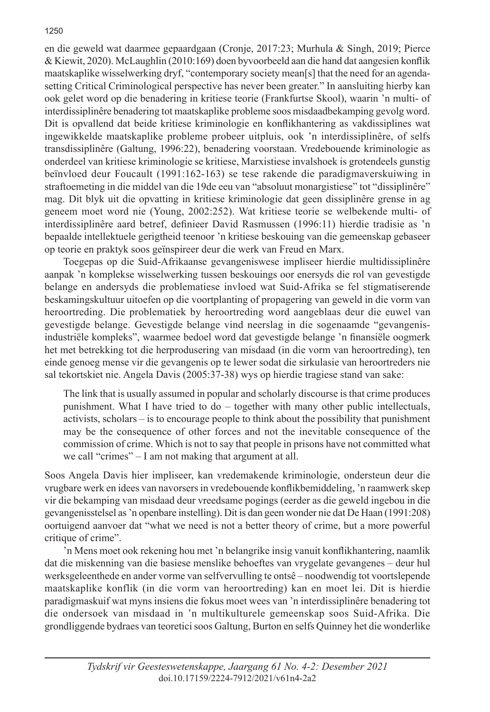en die geweld wat daarmee gepaardgaan (Cronje, 2017:23; Murhula & Singh, 2019; Pierce & Kiewit, 2020). McLaughlin (2010:169) doen byvoorbeeld aan die hand dat aangesien konflik maatskaplike wisselwerking dryf, "contemporary society mean[s] that the need for an agendasetting Critical Criminological perspective has never been greater." In aansluiting hierby kan ook gelet word op die benadering in kritiese teorie (Frankfurtse Skool), waarin 'n multi- of interdissiplinêre benadering tot maatskaplike probleme soos misdaadbekamping gevolg word. Dit is opvallend dat beide kritiese kriminologie en konflikhantering as vakdissiplines wat ingewikkelde maatskaplike probleme probeer uitpluis, ook 'n interdissiplinêre, of selfs transdissiplinêre (Galtung, 1996:22), benadering voorstaan. Vredebouende kriminologie as onderdeel van kritiese kriminologie se kritiese, Marxistiese invalshoek is grotendeels gunstig beïnvloed deur Foucault (1991:162-163) se tese rakende die paradigmaverskuiwing in straftoemeting in die middel van die 19de eeu van "absoluut monargistiese" tot "dissiplinêre" mag. Dit blyk uit die opvatting in kritiese kriminologie dat geen dissiplinêre grense in ag geneem moet word nie (Young, 2002:252). Wat kritiese teorie se welbekende multi- of interdissiplinêre aard betref, definieer David Rasmussen (1996:11) hierdie tradisie as 'n bepaalde intellektuele gerigtheid teenoor 'n kritiese beskouing van die gemeenskap gebaseer op teorie en praktyk soos geïnspireer deur die werk van Freud en Marx.

Toegepas op die Suid-Afrikaanse gevangeniswese impliseer hierdie multidissiplinêre aanpak 'n komplekse wisselwerking tussen beskouings oor enersyds die rol van gevestigde belange en andersyds die problematiese invloed wat Suid-Afrika se fel stigmatiserende beskamingskultuur uitoefen op die voortplanting of propagering van geweld in die vorm van heroortreding. Die problematiek by heroortreding word aangeblaas deur die euwel van gevestigde belange. Gevestigde belange vind neerslag in die sogenaamde "gevangenisindustriële kompleks", waarmee bedoel word dat gevestigde belange 'n finansiële oogmerk het met betrekking tot die herprodusering van misdaad (in die vorm van heroortreding), ten einde genoeg mense vir die gevangenis op te lewer sodat die sirkulasie van heroortreders nie sal tekortskiet nie. Angela Davis (2005:37-38) wys op hierdie tragiese stand van sake:

The link that is usually assumed in popular and scholarly discourse is that crime produces punishment. What I have tried to do – together with many other public intellectuals, activists, scholars – is to encourage people to think about the possibility that punishment may be the consequence of other forces and not the inevitable consequence of the commission of crime. Which is not to say that people in prisons have not committed what we call "crimes" – I am not making that argument at all.

Soos Angela Davis hier impliseer, kan vredemakende kriminologie, ondersteun deur die vrugbare werk en idees van navorsers in vredebouende konflikbemiddeling, 'n raamwerk skep vir die bekamping van misdaad deur vreedsame pogings (eerder as die geweld ingebou in die gevangenisstelsel as 'n openbare instelling). Dit is dan geen wonder nie dat De Haan (1991:208) oortuigend aanvoer dat "what we need is not a better theory of crime, but a more powerful critique of crime".

'n Mens moet ook rekening hou met 'n belangrike insig vanuit konflikhantering, naamlik dat die miskenning van die basiese menslike behoeftes van vrygelate gevangenes – deur hul werksgeleenthede en ander vorme van selfvervulling te ontsê – noodwendig tot voortslepende maatskaplike konflik (in die vorm van heroortreding) kan en moet lei. Dit is hierdie paradigmaskuif wat myns insiens die fokus moet wees van 'n interdissiplinêre benadering tot die ondersoek van misdaad in 'n multikulturele gemeenskap soos Suid-Afrika. Die grondliggende bydraes van teoretici soos Galtung, Burton en selfs Quinney het die wonderlike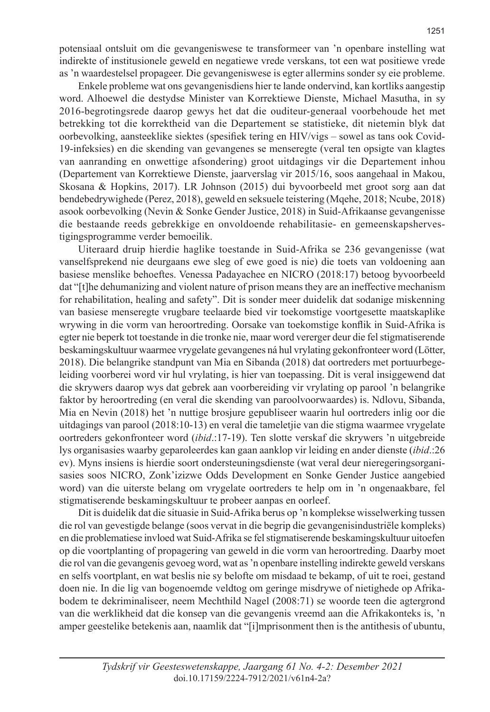potensiaal ontsluit om die gevangeniswese te transformeer van 'n openbare instelling wat indirekte of institusionele geweld en negatiewe vrede verskans, tot een wat positiewe vrede as 'n waardestelsel propageer. Die gevangeniswese is egter allermins sonder sy eie probleme.

Enkele probleme wat ons gevangenisdiens hier te lande ondervind, kan kortliks aangestip word. Alhoewel die destydse Minister van Korrektiewe Dienste, Michael Masutha, in sy 2016-begrotingsrede daarop gewys het dat die ouditeur-generaal voorbehoude het met betrekking tot die korrektheid van die Departement se statistieke, dit nietemin blyk dat oorbevolking, aansteeklike siektes (spesifiek tering en HIV/vigs – sowel as tans ook Covid-19-infeksies) en die skending van gevangenes se menseregte (veral ten opsigte van klagtes van aanranding en onwettige afsondering) groot uitdagings vir die Departement inhou (Departement van Korrektiewe Dienste, jaarverslag vir 2015/16, soos aangehaal in Makou, Skosana & Hopkins, 2017). LR Johnson (2015) dui byvoorbeeld met groot sorg aan dat bendebedrywighede (Perez, 2018), geweld en seksuele teistering (Mqehe, 2018; Ncube, 2018) asook oorbevolking (Nevin & Sonke Gender Justice, 2018) in Suid-Afrikaanse gevangenisse die bestaande reeds gebrekkige en onvoldoende rehabilitasie- en gemeenskapshervestigingsprogramme verder bemoeilik.

Uiteraard druip hierdie haglike toestande in Suid-Afrika se 236 gevangenisse (wat vanselfsprekend nie deurgaans ewe sleg of ewe goed is nie) die toets van voldoening aan basiese menslike behoeftes. Venessa Padayachee en NICRO (2018:17) betoog byvoorbeeld dat "[t]he dehumanizing and violent nature of prison means they are an ineffective mechanism for rehabilitation, healing and safety". Dit is sonder meer duidelik dat sodanige miskenning van basiese menseregte vrugbare teelaarde bied vir toekomstige voortgesette maatskaplike wrywing in die vorm van heroortreding. Oorsake van toekomstige konflik in Suid-Afrika is egter nie beperk tot toestande in die tronke nie, maar word vererger deur die fel stigmatiserende beskamingskultuur waarmee vrygelate gevangenes ná hul vrylating gekonfronteer word (Lötter, 2018). Die belangrike standpunt van Mia en Sibanda (2018) dat oortreders met portuurbegeleiding voorberei word vir hul vrylating, is hier van toepassing. Dit is veral insiggewend dat die skrywers daarop wys dat gebrek aan voorbereiding vir vrylating op parool 'n belangrike faktor by heroortreding (en veral die skending van paroolvoorwaardes) is. Ndlovu, Sibanda, Mia en Nevin (2018) het 'n nuttige brosjure gepubliseer waarin hul oortreders inlig oor die uitdagings van parool (2018:10-13) en veral die tameletjie van die stigma waarmee vrygelate oortreders gekonfronteer word (*ibid*.:17-19). Ten slotte verskaf die skrywers 'n uitgebreide lys organisasies waarby geparoleerdes kan gaan aanklop vir leiding en ander dienste (*ibid*.:26 ev). Myns insiens is hierdie soort ondersteuningsdienste (wat veral deur nieregeringsorganisasies soos NICRO, Zonk'izizwe Odds Development en Sonke Gender Justice aangebied word) van die uiterste belang om vrygelate oortreders te help om in 'n ongenaakbare, fel stigmatiserende beskamingskultuur te probeer aanpas en oorleef.

Dit is duidelik dat die situasie in Suid-Afrika berus op 'n komplekse wisselwerking tussen die rol van gevestigde belange (soos vervat in die begrip die gevangenisindustriële kompleks) en die problematiese invloed wat Suid-Afrika se fel stigmatiserende beskamingskultuur uitoefen op die voortplanting of propagering van geweld in die vorm van heroortreding. Daarby moet die rol van die gevangenis gevoeg word, wat as 'n openbare instelling indirekte geweld verskans en selfs voortplant, en wat beslis nie sy belofte om misdaad te bekamp, of uit te roei, gestand doen nie. In die lig van bogenoemde veldtog om geringe misdrywe of nietighede op Afrikabodem te dekriminaliseer, neem Mechthild Nagel (2008:71) se woorde teen die agtergrond van die werklikheid dat die konsep van die gevangenis vreemd aan die Afrikakonteks is, 'n amper geestelike betekenis aan, naamlik dat "[i]mprisonment then is the antithesis of ubuntu,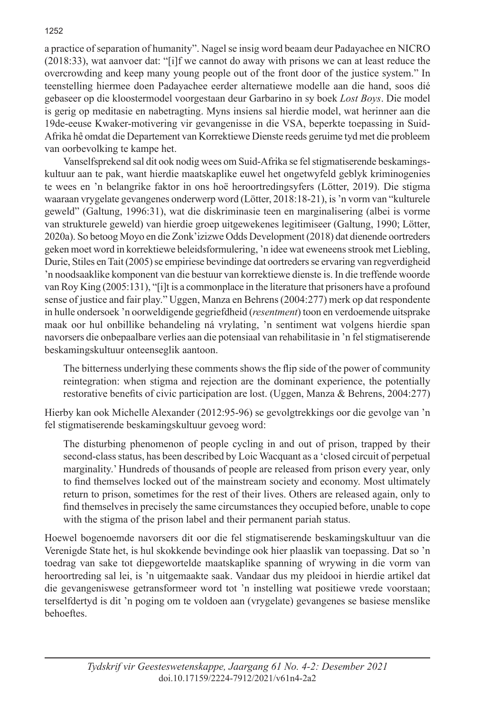a practice of separation of humanity". Nagel se insig word beaam deur Padayachee en NICRO (2018:33), wat aanvoer dat: "[i]f we cannot do away with prisons we can at least reduce the overcrowding and keep many young people out of the front door of the justice system." In teenstelling hiermee doen Padayachee eerder alternatiewe modelle aan die hand, soos dié gebaseer op die kloostermodel voorgestaan deur Garbarino in sy boek *Lost Boys*. Die model is gerig op meditasie en nabetragting. Myns insiens sal hierdie model, wat herinner aan die 19de-eeuse Kwaker-motivering vir gevangenisse in die VSA, beperkte toepassing in Suid-Afrika hê omdat die Departement van Korrektiewe Dienste reeds geruime tyd met die probleem van oorbevolking te kampe het.

Vanselfsprekend sal dit ook nodig wees om Suid-Afrika se fel stigmatiserende beskamingskultuur aan te pak, want hierdie maatskaplike euwel het ongetwyfeld geblyk kriminogenies te wees en 'n belangrike faktor in ons hoë heroortredingsyfers (Lötter, 2019). Die stigma waaraan vrygelate gevangenes onderwerp word (Lötter, 2018:18-21), is 'n vorm van "kulturele geweld" (Galtung, 1996:31), wat die diskriminasie teen en marginalisering (albei is vorme van strukturele geweld) van hierdie groep uitgewekenes legitimiseer (Galtung, 1990; Lötter, 2020a). So betoog Moyo en die Zonk'izizwe Odds Development (2018) dat dienende oortreders geken moet word in korrektiewe beleidsformulering, 'n idee wat eweneens strook met Liebling, Durie, Stiles en Tait (2005) se empiriese bevindinge dat oortreders se ervaring van regverdigheid 'n noodsaaklike komponent van die bestuur van korrektiewe dienste is. In die treffende woorde van Roy King (2005:131), "[i]t is a commonplace in the literature that prisoners have a profound sense of justice and fair play." Uggen, Manza en Behrens (2004:277) merk op dat respondente in hulle ondersoek 'n oorweldigende gegriefdheid (*resentment*) toon en verdoemende uitsprake maak oor hul onbillike behandeling ná vrylating, 'n sentiment wat volgens hierdie span navorsers die onbepaalbare verlies aan die potensiaal van rehabilitasie in 'n fel stigmatiserende beskamingskultuur onteenseglik aantoon.

The bitterness underlying these comments shows the flip side of the power of community reintegration: when stigma and rejection are the dominant experience, the potentially restorative benefits of civic participation are lost. (Uggen, Manza & Behrens, 2004:277)

Hierby kan ook Michelle Alexander (2012:95-96) se gevolgtrekkings oor die gevolge van 'n fel stigmatiserende beskamingskultuur gevoeg word:

The disturbing phenomenon of people cycling in and out of prison, trapped by their second-class status, has been described by Loic Wacquant as a 'closed circuit of perpetual marginality.' Hundreds of thousands of people are released from prison every year, only to find themselves locked out of the mainstream society and economy. Most ultimately return to prison, sometimes for the rest of their lives. Others are released again, only to find themselves in precisely the same circumstances they occupied before, unable to cope with the stigma of the prison label and their permanent pariah status.

Hoewel bogenoemde navorsers dit oor die fel stigmatiserende beskamingskultuur van die Verenigde State het, is hul skokkende bevindinge ook hier plaaslik van toepassing. Dat so 'n toedrag van sake tot diepgewortelde maatskaplike spanning of wrywing in die vorm van heroortreding sal lei, is 'n uitgemaakte saak. Vandaar dus my pleidooi in hierdie artikel dat die gevangeniswese getransformeer word tot 'n instelling wat positiewe vrede voorstaan; terselfdertyd is dit 'n poging om te voldoen aan (vrygelate) gevangenes se basiese menslike behoeftes.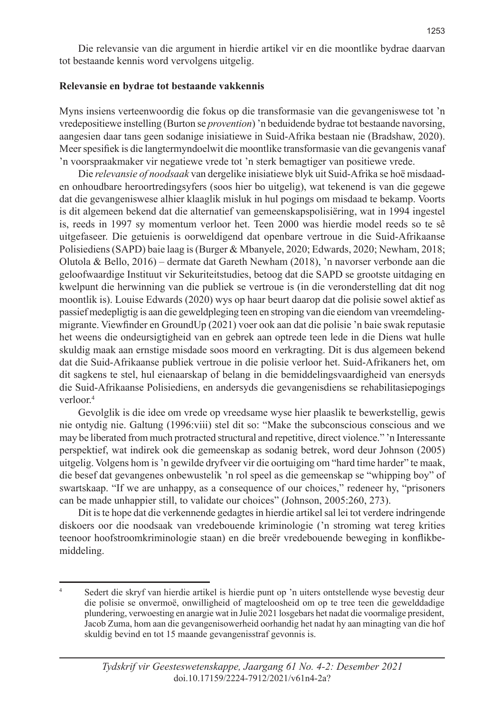Die relevansie van die argument in hierdie artikel vir en die moontlike bydrae daarvan tot bestaande kennis word vervolgens uitgelig.

## **Relevansie en bydrae tot bestaande vakkennis**

Myns insiens verteenwoordig die fokus op die transformasie van die gevangeniswese tot 'n vredepositiewe instelling (Burton se *provention*) 'n beduidende bydrae tot bestaande navorsing, aangesien daar tans geen sodanige inisiatiewe in Suid-Afrika bestaan nie (Bradshaw, 2020). Meer spesifiek is die langtermyndoelwit die moontlike transformasie van die gevangenis vanaf 'n voorspraakmaker vir negatiewe vrede tot 'n sterk bemagtiger van positiewe vrede.

Die *relevansie of noodsaak* van dergelike inisiatiewe blyk uit Suid-Afrika se hoë misdaaden onhoudbare heroortredingsyfers (soos hier bo uitgelig), wat tekenend is van die gegewe dat die gevangeniswese alhier klaaglik misluk in hul pogings om misdaad te bekamp. Voorts is dit algemeen bekend dat die alternatief van gemeenskapspolisiëring, wat in 1994 ingestel is, reeds in 1997 sy momentum verloor het. Teen 2000 was hierdie model reeds so te sê uitgefaseer. Die getuienis is oorweldigend dat openbare vertroue in die Suid-Afrikaanse Polisiediens (SAPD) baie laag is (Burger & Mbanyele, 2020; Edwards, 2020; Newham, 2018; Olutola & Bello, 2016) – dermate dat Gareth Newham (2018), 'n navorser verbonde aan die geloofwaardige Instituut vir Sekuriteitstudies, betoog dat die SAPD se grootste uitdaging en kwelpunt die herwinning van die publiek se vertroue is (in die veronderstelling dat dit nog moontlik is). Louise Edwards (2020) wys op haar beurt daarop dat die polisie sowel aktief as passief medepligtig is aan die geweldpleging teen en stroping van die eiendom van vreemdelingmigrante. Viewfinder en GroundUp (2021) voer ook aan dat die polisie 'n baie swak reputasie het weens die ondeursigtigheid van en gebrek aan optrede teen lede in die Diens wat hulle skuldig maak aan ernstige misdade soos moord en verkragting. Dit is dus algemeen bekend dat die Suid-Afrikaanse publiek vertroue in die polisie verloor het. Suid-Afrikaners het, om dit sagkens te stel, hul eienaarskap of belang in die bemiddelingsvaardigheid van enersyds die Suid-Afrikaanse Polisiediens, en andersyds die gevangenisdiens se rehabilitasiepogings verloor<sup>4</sup>

Gevolglik is die idee om vrede op vreedsame wyse hier plaaslik te bewerkstellig, gewis nie ontydig nie. Galtung (1996:viii) stel dit so: "Make the subconscious conscious and we may be liberated from much protracted structural and repetitive, direct violence." 'n Interessante perspektief, wat indirek ook die gemeenskap as sodanig betrek, word deur Johnson (2005) uitgelig. Volgens hom is 'n gewilde dryfveer vir die oortuiging om "hard time harder" te maak, die besef dat gevangenes onbewustelik 'n rol speel as die gemeenskap se "whipping boy" of swartskaap. "If we are unhappy, as a consequence of our choices," redeneer hy, "prisoners can be made unhappier still, to validate our choices" (Johnson, 2005:260, 273).

Dit is te hope dat die verkennende gedagtes in hierdie artikel sal lei tot verdere indringende diskoers oor die noodsaak van vredebouende kriminologie ('n stroming wat tereg krities teenoor hoofstroomkriminologie staan) en die breër vredebouende beweging in konflikbemiddeling.

<sup>4</sup> Sedert die skryf van hierdie artikel is hierdie punt op 'n uiters ontstellende wyse bevestig deur die polisie se onvermoë, onwilligheid of magteloosheid om op te tree teen die gewelddadige plundering, verwoesting en anargie wat in Julie 2021 losgebars het nadat die voormalige president, Jacob Zuma, hom aan die gevangenisowerheid oorhandig het nadat hy aan minagting van die hof skuldig bevind en tot 15 maande gevangenisstraf gevonnis is.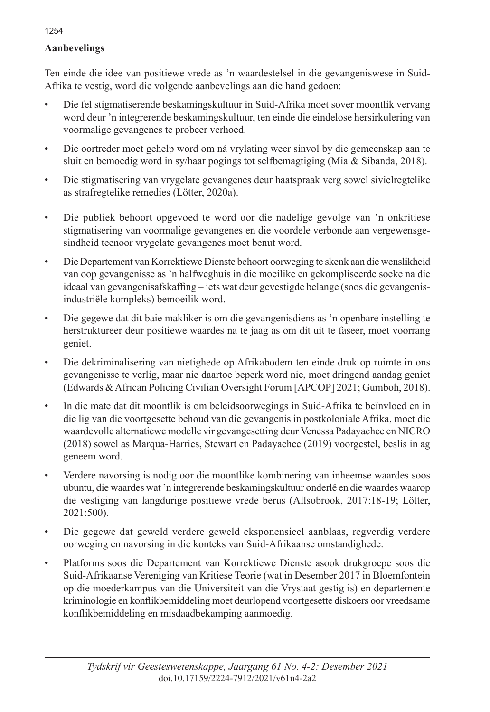# **Aanbevelings**

Ten einde die idee van positiewe vrede as 'n waardestelsel in die gevangeniswese in Suid-Afrika te vestig, word die volgende aanbevelings aan die hand gedoen:

- Die fel stigmatiserende beskamingskultuur in Suid-Afrika moet sover moontlik vervang word deur 'n integrerende beskamingskultuur, ten einde die eindelose hersirkulering van voormalige gevangenes te probeer verhoed.
- Die oortreder moet gehelp word om ná vrylating weer sinvol by die gemeenskap aan te sluit en bemoedig word in sy/haar pogings tot selfbemagtiging (Mia & Sibanda, 2018).
- Die stigmatisering van vrygelate gevangenes deur haatspraak verg sowel sivielregtelike as strafregtelike remedies (Lötter, 2020a).
- Die publiek behoort opgevoed te word oor die nadelige gevolge van 'n onkritiese stigmatisering van voormalige gevangenes en die voordele verbonde aan vergewensgesindheid teenoor vrygelate gevangenes moet benut word.
- Die Departement van Korrektiewe Dienste behoort oorweging te skenk aan die wenslikheid van oop gevangenisse as 'n halfweghuis in die moeilike en gekompliseerde soeke na die ideaal van gevangenisafskaffing – iets wat deur gevestigde belange (soos die gevangenisindustriële kompleks) bemoeilik word.
- Die gegewe dat dit baie makliker is om die gevangenisdiens as 'n openbare instelling te herstruktureer deur positiewe waardes na te jaag as om dit uit te faseer, moet voorrang geniet.
- Die dekriminalisering van nietighede op Afrikabodem ten einde druk op ruimte in ons gevangenisse te verlig, maar nie daartoe beperk word nie, moet dringend aandag geniet (Edwards & African Policing Civilian Oversight Forum [APCOP] 2021; Gumboh, 2018).
- In die mate dat dit moontlik is om beleidsoorwegings in Suid-Afrika te beïnvloed en in die lig van die voortgesette behoud van die gevangenis in postkoloniale Afrika, moet die waardevolle alternatiewe modelle vir gevangesetting deur Venessa Padayachee en NICRO (2018) sowel as Marqua-Harries, Stewart en Padayachee (2019) voorgestel, beslis in ag geneem word.
- Verdere navorsing is nodig oor die moontlike kombinering van inheemse waardes soos ubuntu, die waardes wat 'n integrerende beskamingskultuur onderlê en die waardes waarop die vestiging van langdurige positiewe vrede berus (Allsobrook, 2017:18-19; Lötter, 2021:500).
- Die gegewe dat geweld verdere geweld eksponensieel aanblaas, regverdig verdere oorweging en navorsing in die konteks van Suid-Afrikaanse omstandighede.
- Platforms soos die Departement van Korrektiewe Dienste asook drukgroepe soos die Suid-Afrikaanse Vereniging van Kritiese Teorie (wat in Desember 2017 in Bloemfontein op die moederkampus van die Universiteit van die Vrystaat gestig is) en departemente kriminologie en konflikbemiddeling moet deurlopend voortgesette diskoers oor vreedsame konflikbemiddeling en misdaadbekamping aanmoedig.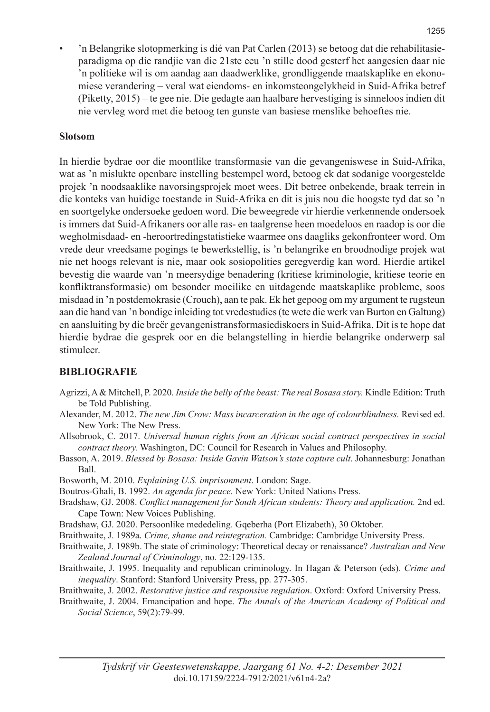• 'n Belangrike slotopmerking is dié van Pat Carlen (2013) se betoog dat die rehabilitasieparadigma op die randjie van die 21ste eeu 'n stille dood gesterf het aangesien daar nie 'n politieke wil is om aandag aan daadwerklike, grondliggende maatskaplike en ekonomiese verandering – veral wat eiendoms- en inkomsteongelykheid in Suid-Afrika betref (Piketty, 2015) – te gee nie. Die gedagte aan haalbare hervestiging is sinneloos indien dit nie vervleg word met die betoog ten gunste van basiese menslike behoeftes nie.

# **Slotsom**

In hierdie bydrae oor die moontlike transformasie van die gevangeniswese in Suid-Afrika, wat as 'n mislukte openbare instelling bestempel word, betoog ek dat sodanige voorgestelde projek 'n noodsaaklike navorsingsprojek moet wees. Dit betree onbekende, braak terrein in die konteks van huidige toestande in Suid-Afrika en dit is juis nou die hoogste tyd dat so 'n en soortgelyke ondersoeke gedoen word. Die beweegrede vir hierdie verkennende ondersoek is immers dat Suid-Afrikaners oor alle ras- en taalgrense heen moedeloos en raadop is oor die wegholmisdaad- en -heroortredingstatistieke waarmee ons daagliks gekonfronteer word. Om vrede deur vreedsame pogings te bewerkstellig, is 'n belangrike en broodnodige projek wat nie net hoogs relevant is nie, maar ook sosiopolities geregverdig kan word. Hierdie artikel bevestig die waarde van 'n meersydige benadering (kritiese kriminologie, kritiese teorie en konfliktransformasie) om besonder moeilike en uitdagende maatskaplike probleme, soos misdaad in 'n postdemokrasie (Crouch), aan te pak. Ek het gepoog om my argument te rugsteun aan die hand van 'n bondige inleiding tot vredestudies (te wete die werk van Burton en Galtung) en aansluiting by die breër gevangenistransformasiediskoers in Suid-Afrika. Dit is te hope dat hierdie bydrae die gesprek oor en die belangstelling in hierdie belangrike onderwerp sal stimuleer.

# **BIBLIOGRAFIE**

- Agrizzi, A & Mitchell, P. 2020. *Inside the belly of the beast: The real Bosasa story.* Kindle Edition: Truth be Told Publishing.
- Alexander, M. 2012. *The new Jim Crow: Mass incarceration in the age of colourblindness.* Revised ed. New York: The New Press.
- Allsobrook, C. 2017. *Universal human rights from an African social contract perspectives in social contract theory.* Washington, DC: Council for Research in Values and Philosophy.
- Basson, A. 2019. *Blessed by Bosasa: Inside Gavin Watson's state capture cult*. Johannesburg: Jonathan Ball.
- Bosworth, M. 2010. *Explaining U.S. imprisonment*. London: Sage.
- Boutros-Ghali, B. 1992. *An agenda for peace.* New York: United Nations Press.
- Bradshaw, GJ. 2008. *Conflict management for South African students: Theory and application.* 2nd ed. Cape Town: New Voices Publishing.
- Bradshaw, GJ. 2020. Persoonlike mededeling. Gqeberha (Port Elizabeth), 30 Oktober.
- Braithwaite, J. 1989a. *Crime, shame and reintegration.* Cambridge: Cambridge University Press.
- Braithwaite, J. 1989b. The state of criminology: Theoretical decay or renaissance? *Australian and New Zealand Journal of Criminology*, no. 22:129-135.
- Braithwaite, J. 1995. Inequality and republican criminology. In Hagan & Peterson (eds). *Crime and inequality*. Stanford: Stanford University Press, pp. 277-305.
- Braithwaite, J. 2002. *Restorative justice and responsive regulation*. Oxford: Oxford University Press.
- Braithwaite, J. 2004. Emancipation and hope. *The Annals of the American Academy of Political and Social Science*, 59(2):79-99.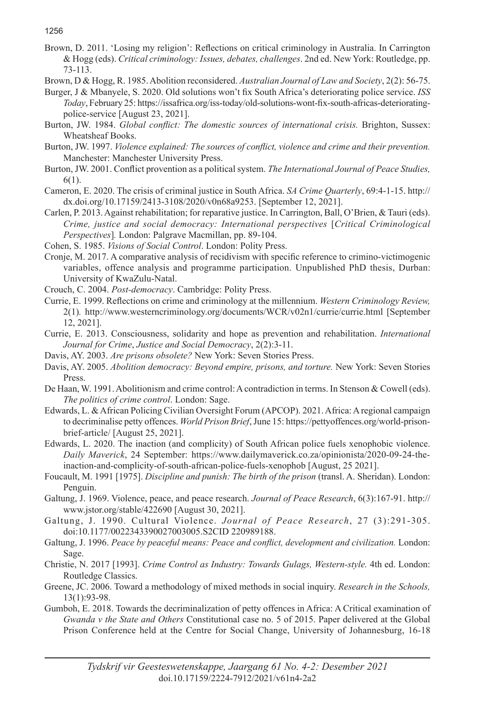Brown, D. 2011. 'Losing my religion': Reflections on critical criminology in Australia. In Carrington & Hogg (eds). *Critical criminology: Issues, debates, challenges*. 2nd ed. New York: Routledge, pp. 73-113.

Brown, D & Hogg, R. 1985. Abolition reconsidered. *Australian Journal of Law and Society*, 2(2): 56-75.

Burger, J & Mbanyele, S. 2020. Old solutions won't fix South Africa's deteriorating police service. *ISS Today*, February 25: https://issafrica.org/iss-today/old-solutions-wont-fix-south-africas-deterioratingpolice-service [August 23, 2021].

- Burton, JW. 1984. *Global conflict: The domestic sources of international crisis.* Brighton, Sussex: Wheatsheaf Books.
- Burton, JW. 1997. *Violence explained: The sources of conflict, violence and crime and their prevention.*  Manchester: Manchester University Press.
- Burton, JW. 2001. Conflict provention as a political system. *The International Journal of Peace Studies,* 6(1).

Cameron, E. 2020. The crisis of criminal justice in South Africa. *SA Crime Quarterly*, 69:4-1-15. http:// dx.doi.org/10.17159/2413-3108/2020/v0n68a9253. [September 12, 2021].

- Carlen, P. 2013. Against rehabilitation; for reparative justice. In Carrington, Ball, O'Brien, & Tauri (eds). *Crime, justice and social democracy: International perspectives* [*Critical Criminological Perspectives*]*.* London: Palgrave Macmillan, pp. 89-104.
- Cohen, S. 1985. *Visions of Social Control*. London: Polity Press.
- Cronje, M. 2017. A comparative analysis of recidivism with specific reference to crimino-victimogenic variables, offence analysis and programme participation. Unpublished PhD thesis, Durban: University of KwaZulu-Natal.
- Crouch, C. 2004. *Post-democracy*. Cambridge: Polity Press.
- Currie, E. 1999. Reflections on crime and criminology at the millennium. *Western Criminology Review,*  2(1)*.* http://www.westerncriminology.org/documents/WCR/v02n1/currie/currie.html [September 12, 2021].
- Currie, E. 2013. Consciousness, solidarity and hope as prevention and rehabilitation. *International Journal for Crime*, *Justice and Social Democracy*, 2(2):3-11.
- Davis, AY. 2003. *Are prisons obsolete?* New York: Seven Stories Press.
- Davis, AY. 2005. *Abolition democracy: Beyond empire, prisons, and torture.* New York: Seven Stories Press.
- De Haan, W. 1991. Abolitionism and crime control: A contradiction in terms. In Stenson & Cowell (eds). *The politics of crime control*. London: Sage.
- Edwards, L. & African Policing Civilian Oversight Forum (APCOP). 2021. Africa: A regional campaign to decriminalise petty offences. *World Prison Brief*, June 15: https://pettyoffences.org/world-prisonbrief-article/ [August 25, 2021].
- Edwards, L. 2020. The inaction (and complicity) of South African police fuels xenophobic violence. *Daily Maverick*, 24 September: https://www.dailymaverick.co.za/opinionista/2020-09-24-theinaction-and-complicity-of-south-african-police-fuels-xenophob [August, 25 2021].
- Foucault, M. 1991 [1975]. *Discipline and punish: The birth of the prison* (transl. A. Sheridan). London: Penguin.
- Galtung, J. 1969. Violence, peace, and peace research. *Journal of Peace Research*, 6(3):167-91. http:// www.jstor.org/stable/422690 [August 30, 2021].
- Galtung, J. 1990. Cultural Violence. *Journal of Peace Research*, 27 (3):291-305. doi:10.1177/0022343390027003005.S2CID 220989188.
- Galtung, J. 1996. *Peace by peaceful means: Peace and conflict, development and civilization.* London: Sage.
- Christie, N. 2017 [1993]. *Crime Control as Industry: Towards Gulags, Western-style.* 4th ed. London: Routledge Classics.
- Greene, JC. 2006. Toward a methodology of mixed methods in social inquiry. *Research in the Schools,* 13(1):93-98.
- Gumboh, E. 2018. Towards the decriminalization of petty offences in Africa: A Critical examination of *Gwanda v the State and Others* Constitutional case no. 5 of 2015. Paper delivered at the Global Prison Conference held at the Centre for Social Change, University of Johannesburg, 16-18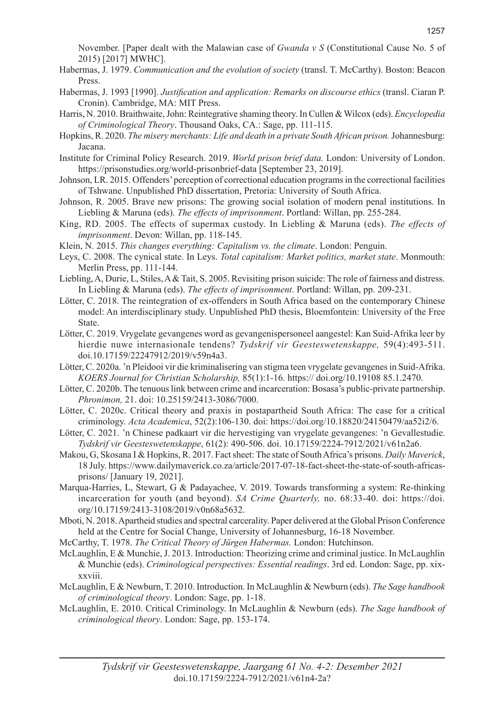November. [Paper dealt with the Malawian case of *Gwanda v S* (Constitutional Cause No. 5 of 2015) [2017] MWHC].

- Habermas, J. 1979. *Communication and the evolution of society* (transl. T. McCarthy). Boston: Beacon Press.
- Habermas, J. 1993 [1990]. *Justification and application: Remarks on discourse ethics* (transl. Ciaran P. Cronin). Cambridge, MA: MIT Press.
- Harris, N. 2010. Braithwaite, John: Reintegrative shaming theory. In Cullen & Wilcox (eds). *Encyclopedia of Criminological Theory*. Thousand Oaks, CA.: Sage, pp. 111-115.
- Hopkins, R. 2020. *The misery merchants: Life and death in a private South African prison.* Johannesburg: Jacana.
- Institute for Criminal Policy Research. 2019. *World prison brief data.* London: University of London. https://prisonstudies.org/world-prisonbrief-data [September 23, 2019].
- Johnson, LR. 2015. Offenders' perception of correctional education programs in the correctional facilities of Tshwane. Unpublished PhD dissertation, Pretoria: University of South Africa.
- Johnson, R. 2005. Brave new prisons: The growing social isolation of modern penal institutions. In Liebling & Maruna (eds). *The effects of imprisonment*. Portland: Willan, pp. 255-284.
- King, RD. 2005. The effects of supermax custody. In Liebling & Maruna (eds). *The effects of imprisonment*. Devon: Willan, pp. 118-145.
- Klein, N. 2015. *This changes everything: Capitalism vs. the climate*. London: Penguin.
- Leys, C. 2008. The cynical state. In Leys. *Total capitalism: Market politics, market state*. Monmouth: Merlin Press, pp. 111-144.
- Liebling, A, Durie, L, Stiles, A & Tait, S. 2005. Revisiting prison suicide: The role of fairness and distress. In Liebling & Maruna (eds). *The effects of imprisonment*. Portland: Willan, pp. 209-231.
- Lötter, C. 2018. The reintegration of ex-offenders in South Africa based on the contemporary Chinese model: An interdisciplinary study. Unpublished PhD thesis, Bloemfontein: University of the Free State.
- Lötter, C. 2019. Vrygelate gevangenes word as gevangenispersoneel aangestel: Kan Suid-Afrika leer by hierdie nuwe internasionale tendens? *Tydskrif vir Geesteswetenskappe,* 59(4):493-511. doi.10.17159/22247912/2019/v59n4a3.
- Lötter, C. 2020a. 'n Pleidooi vir die kriminalisering van stigma teen vrygelate gevangenes in Suid-Afrika. *KOERS Journal for Christian Scholarship,* 85(1):1-16. https:// doi.org/10.19108 85.1.2470.
- Lötter, C. 2020b. The tenuous link between crime and incarceration: Bosasa's public-private partnership. *Phronimon,* 21. doi: 10.25159/2413-3086/7000.
- Lötter, C. 2020c. Critical theory and praxis in postapartheid South Africa: The case for a critical criminology. *Acta Academica*, 52(2):106-130. doi: https://doi.org/10.18820/24150479/aa52i2/6.
- Lötter, C. 2021. 'n Chinese padkaart vir die hervestiging van vrygelate gevangenes: 'n Gevallestudie. *Tydskrif vir Geesteswetenskappe*, 61(2): 490-506. doi. 10.17159/2224-7912/2021/v61n2a6.
- Makou, G, Skosana I & Hopkins, R. 2017. Fact sheet: The state of South Africa's prisons. *Daily Maverick*, 18 July. https://www.dailymaverick.co.za/article/2017-07-18-fact-sheet-the-state-of-south-africasprisons/ [January 19, 2021].
- Marqua-Harries, L, Stewart, G & Padayachee, V. 2019. Towards transforming a system: Re-thinking incarceration for youth (and beyond). *SA Crime Quarterly,* no. 68:33-40. doi: https://doi. org/10.17159/2413-3108/2019/v0n68a5632.
- Mboti, N. 2018. Apartheid studies and spectral carcerality. Paper delivered at the Global Prison Conference held at the Centre for Social Change, University of Johannesburg, 16-18 November.
- McCarthy, T. 1978. *The Critical Theory of Jürgen Habermas.* London: Hutchinson.
- McLaughlin, E & Munchie, J. 2013. Introduction: Theorizing crime and criminal justice. In McLaughlin & Munchie (eds). *Criminological perspectives: Essential readings*. 3rd ed. London: Sage, pp. xixxxviii.
- McLaughlin, E & Newburn, T. 2010. Introduction. In McLaughlin & Newburn (eds). *The Sage handbook of criminological theory*. London: Sage, pp. 1-18.
- McLaughlin, E. 2010. Critical Criminology. In McLaughlin & Newburn (eds). *The Sage handbook of criminological theory*. London: Sage, pp. 153-174.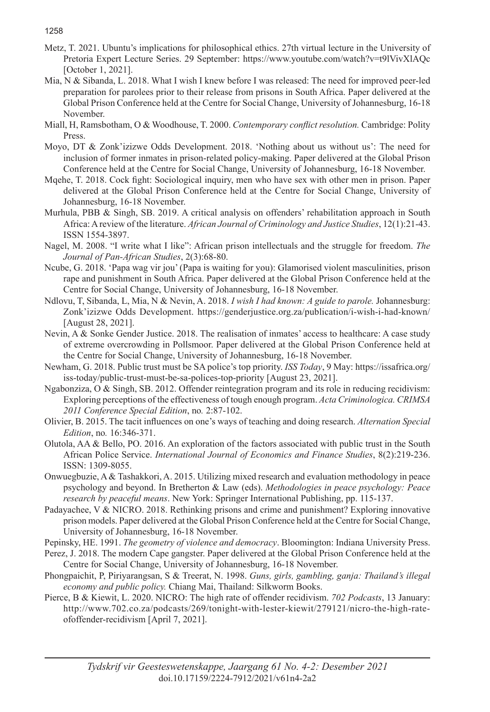Metz, T. 2021. Ubuntu's implications for philosophical ethics. 27th virtual lecture in the University of Pretoria Expert Lecture Series. 29 September: https://www.youtube.com/watch?v=t9lVivXlAQc [October 1, 2021].

- Mia, N & Sibanda, L. 2018. What I wish I knew before I was released: The need for improved peer-led preparation for parolees prior to their release from prisons in South Africa. Paper delivered at the Global Prison Conference held at the Centre for Social Change, University of Johannesburg, 16-18 November.
- Miall, H, Ramsbotham, O & Woodhouse, T. 2000. *Contemporary conflict resolution.* Cambridge: Polity Press.
- Moyo, DT & Zonk'izizwe Odds Development. 2018. 'Nothing about us without us': The need for inclusion of former inmates in prison-related policy-making. Paper delivered at the Global Prison Conference held at the Centre for Social Change, University of Johannesburg, 16-18 November.
- Mqehe, T. 2018. Cock fight: Sociological inquiry, men who have sex with other men in prison. Paper delivered at the Global Prison Conference held at the Centre for Social Change, University of Johannesburg, 16-18 November.
- Murhula, PBB & Singh, SB. 2019. A critical analysis on offenders' rehabilitation approach in South Africa: A review of the literature. *African Journal of Criminology and Justice Studies*, 12(1):21-43. ISSN 1554-3897.
- Nagel, M. 2008. "I write what I like": African prison intellectuals and the struggle for freedom. *The Journal of Pan-African Studies*, 2(3):68-80.
- Ncube, G. 2018. 'Papa wag vir jou' (Papa is waiting for you): Glamorised violent masculinities, prison rape and punishment in South Africa. Paper delivered at the Global Prison Conference held at the Centre for Social Change, University of Johannesburg, 16-18 November.
- Ndlovu, T, Sibanda, L, Mia, N & Nevin, A. 2018. *I wish I had known: A guide to parole.* Johannesburg: Zonk'izizwe Odds Development. https://genderjustice.org.za/publication/i-wish-i-had-known/ [August 28, 2021].
- Nevin, A & Sonke Gender Justice. 2018. The realisation of inmates' access to healthcare: A case study of extreme overcrowding in Pollsmoor. Paper delivered at the Global Prison Conference held at the Centre for Social Change, University of Johannesburg, 16-18 November.
- Newham, G. 2018. Public trust must be SA police's top priority. *ISS Today*, 9 May: https://issafrica.org/ iss-today/public-trust-must-be-sa-polices-top-priority [August 23, 2021].
- Ngabonziza, O & Singh, SB. 2012. Offender reintegration program and its role in reducing recidivism: Exploring perceptions of the effectiveness of tough enough program. *Acta Criminologica. CRIMSA 2011 Conference Special Edition*, no*.* 2:87-102.
- Olivier, B. 2015. The tacit influences on one's ways of teaching and doing research. *Alternation Special Edition*, no*.* 16:346-371.
- Olutola, AA & Bello, PO. 2016. An exploration of the factors associated with public trust in the South African Police Service. *International Journal of Economics and Finance Studies*, 8(2):219-236. ISSN: 1309-8055.
- Onwuegbuzie, A & Tashakkori, A. 2015. Utilizing mixed research and evaluation methodology in peace psychology and beyond. In Bretherton & Law (eds). *Methodologies in peace psychology: Peace research by peaceful means*. New York: Springer International Publishing, pp. 115-137.
- Padayachee, V & NICRO. 2018. Rethinking prisons and crime and punishment? Exploring innovative prison models. Paper delivered at the Global Prison Conference held at the Centre for Social Change, University of Johannesburg, 16-18 November.
- Pepinsky, HE. 1991. *The geometry of violence and democracy*. Bloomington: Indiana University Press.
- Perez, J. 2018. The modern Cape gangster. Paper delivered at the Global Prison Conference held at the Centre for Social Change, University of Johannesburg, 16-18 November.
- Phongpaichit, P, Piriyarangsan, S & Treerat, N. 1998. *Guns, girls, gambling, ganja: Thailand's illegal economy and public policy.* Chiang Mai, Thailand: Silkworm Books.
- Pierce, B & Kiewit, L. 2020. NICRO: The high rate of offender recidivism. *702 Podcasts*, 13 January: http://www.702.co.za/podcasts/269/tonight-with-lester-kiewit/279121/nicro-the-high-rateofoffender-recidivism [April 7, 2021].